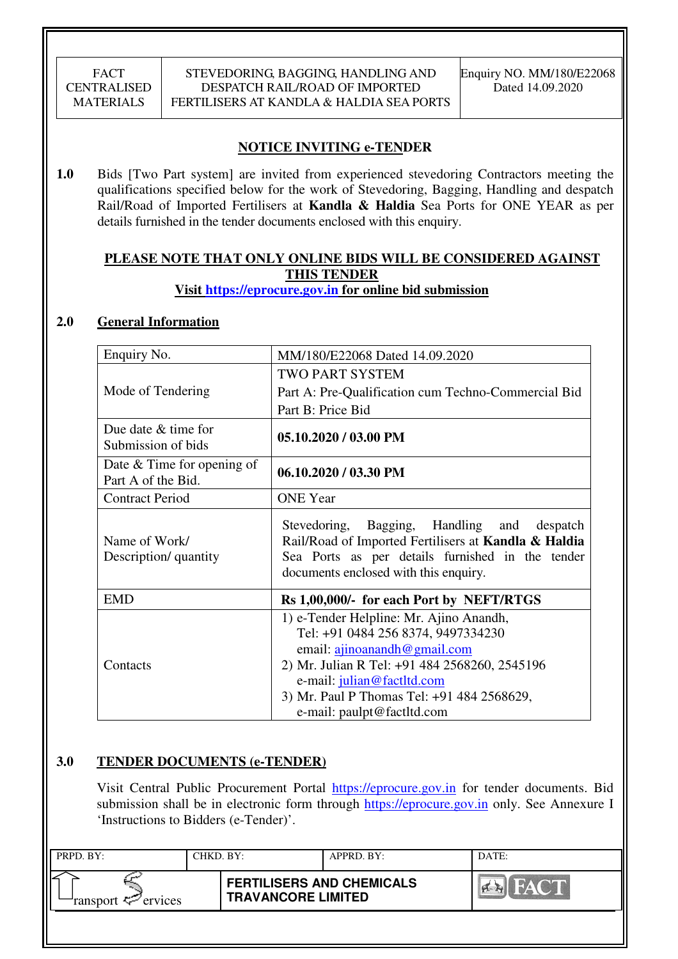# **NOTICE INVITING e-TENDER**

**1.0** Bids [Two Part system] are invited from experienced stevedoring Contractors meeting the qualifications specified below for the work of Stevedoring, Bagging, Handling and despatch Rail/Road of Imported Fertilisers at **Kandla & Haldia** Sea Ports for ONE YEAR as per details furnished in the tender documents enclosed with this enquiry.

# **PLEASE NOTE THAT ONLY ONLINE BIDS WILL BE CONSIDERED AGAINST THIS TENDER**

# **Visit https://eprocure.gov.in for online bid submission**

## **2.0 General Information**

| Enquiry No.                                        | MM/180/E22068 Dated 14.09.2020                                                                                                                                                                                                                                           |  |  |  |
|----------------------------------------------------|--------------------------------------------------------------------------------------------------------------------------------------------------------------------------------------------------------------------------------------------------------------------------|--|--|--|
|                                                    | <b>TWO PART SYSTEM</b>                                                                                                                                                                                                                                                   |  |  |  |
| Mode of Tendering                                  | Part A: Pre-Qualification cum Techno-Commercial Bid                                                                                                                                                                                                                      |  |  |  |
|                                                    | Part B: Price Bid                                                                                                                                                                                                                                                        |  |  |  |
| Due date $&$ time for<br>Submission of bids        | 05.10.2020 / 03.00 PM                                                                                                                                                                                                                                                    |  |  |  |
| Date $&$ Time for opening of<br>Part A of the Bid. | 06.10.2020 / 03.30 PM                                                                                                                                                                                                                                                    |  |  |  |
| <b>Contract Period</b>                             | <b>ONE</b> Year                                                                                                                                                                                                                                                          |  |  |  |
| Name of Work/<br>Description/ quantity             | Stevedoring, Bagging, Handling and despatch<br>Rail/Road of Imported Fertilisers at Kandla & Haldia<br>Sea Ports as per details furnished in the tender<br>documents enclosed with this enquiry.                                                                         |  |  |  |
| <b>EMD</b>                                         | Rs 1,00,000/- for each Port by NEFT/RTGS                                                                                                                                                                                                                                 |  |  |  |
| Contacts                                           | 1) e-Tender Helpline: Mr. Ajino Anandh,<br>Tel: +91 0484 256 8374, 9497334230<br>email: ajinoanandh@gmail.com<br>2) Mr. Julian R Tel: +91 484 2568260, 2545196<br>e-mail: julian@factltd.com<br>3) Mr. Paul P Thomas Tel: +91 484 2568629,<br>e-mail: paulpt@factltd.com |  |  |  |

## **3.0 TENDER DOCUMENTS (e-TENDER)**

Visit Central Public Procurement Portal https://eprocure.gov.in for tender documents. Bid submission shall be in electronic form through https://eprocure.gov.in only. See Annexure I 'Instructions to Bidders (e-Tender)'.

| PRPD. BY:                  | CHKD. BY: |                                                               | APPRD. BY: | DATE:     |
|----------------------------|-----------|---------------------------------------------------------------|------------|-----------|
| ransport $\approx$ ervices |           | <b>FERTILISERS AND CHEMICALS</b><br><b>TRAVANCORE LIMITED</b> |            | <b>NA</b> |
|                            |           |                                                               |            |           |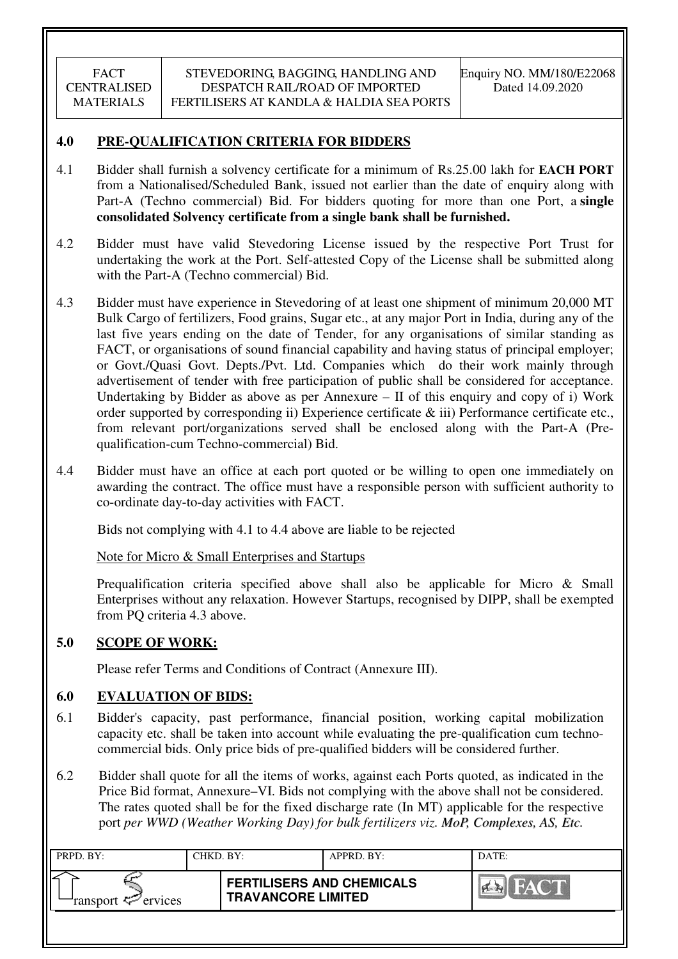# **4.0 PRE-QUALIFICATION CRITERIA FOR BIDDERS**

- 4.1 Bidder shall furnish a solvency certificate for a minimum of Rs.25.00 lakh for **EACH PORT** from a Nationalised/Scheduled Bank, issued not earlier than the date of enquiry along with Part-A (Techno commercial) Bid. For bidders quoting for more than one Port, a **single consolidated Solvency certificate from a single bank shall be furnished.**
- 4.2 Bidder must have valid Stevedoring License issued by the respective Port Trust for undertaking the work at the Port. Self-attested Copy of the License shall be submitted along with the Part-A (Techno commercial) Bid.
- 4.3 Bidder must have experience in Stevedoring of at least one shipment of minimum 20,000 MT Bulk Cargo of fertilizers, Food grains, Sugar etc., at any major Port in India, during any of the last five years ending on the date of Tender, for any organisations of similar standing as FACT, or organisations of sound financial capability and having status of principal employer; or Govt./Quasi Govt. Depts./Pvt. Ltd. Companies which do their work mainly through advertisement of tender with free participation of public shall be considered for acceptance. Undertaking by Bidder as above as per Annexure – II of this enquiry and copy of i) Work order supported by corresponding ii) Experience certificate & iii) Performance certificate etc., from relevant port/organizations served shall be enclosed along with the Part-A (Prequalification-cum Techno-commercial) Bid.
- 4.4 Bidder must have an office at each port quoted or be willing to open one immediately on awarding the contract. The office must have a responsible person with sufficient authority to co-ordinate day-to-day activities with FACT.

Bids not complying with 4.1 to 4.4 above are liable to be rejected

Note for Micro & Small Enterprises and Startups

Prequalification criteria specified above shall also be applicable for Micro & Small Enterprises without any relaxation. However Startups, recognised by DIPP, shall be exempted from PQ criteria 4.3 above.

## **5.0 SCOPE OF WORK:**

Please refer Terms and Conditions of Contract (Annexure III).

## **6.0 EVALUATION OF BIDS:**

- 6.1 Bidder's capacity, past performance, financial position, working capital mobilization capacity etc. shall be taken into account while evaluating the pre-qualification cum technocommercial bids. Only price bids of pre-qualified bidders will be considered further.
- 6.2 Bidder shall quote for all the items of works, against each Ports quoted, as indicated in the Price Bid format, Annexure–VI. Bids not complying with the above shall not be considered. The rates quoted shall be for the fixed discharge rate (In MT) applicable for the respective port *per WWD (Weather Working Day) for bulk fertilizers viz. MoP, Complexes, AS, Etc.*

| PRPD. BY:                     | CHKD. BY: |                                                               | APPRD. BY: | DATE:                              |
|-------------------------------|-----------|---------------------------------------------------------------|------------|------------------------------------|
| ransport <sup>2</sup> ervices |           | <b>FERTILISERS AND CHEMICALS</b><br><b>TRAVANCORE LIMITED</b> |            | THAY <b>MARK</b><br>$\sum_{i=1}^n$ |
|                               |           |                                                               |            |                                    |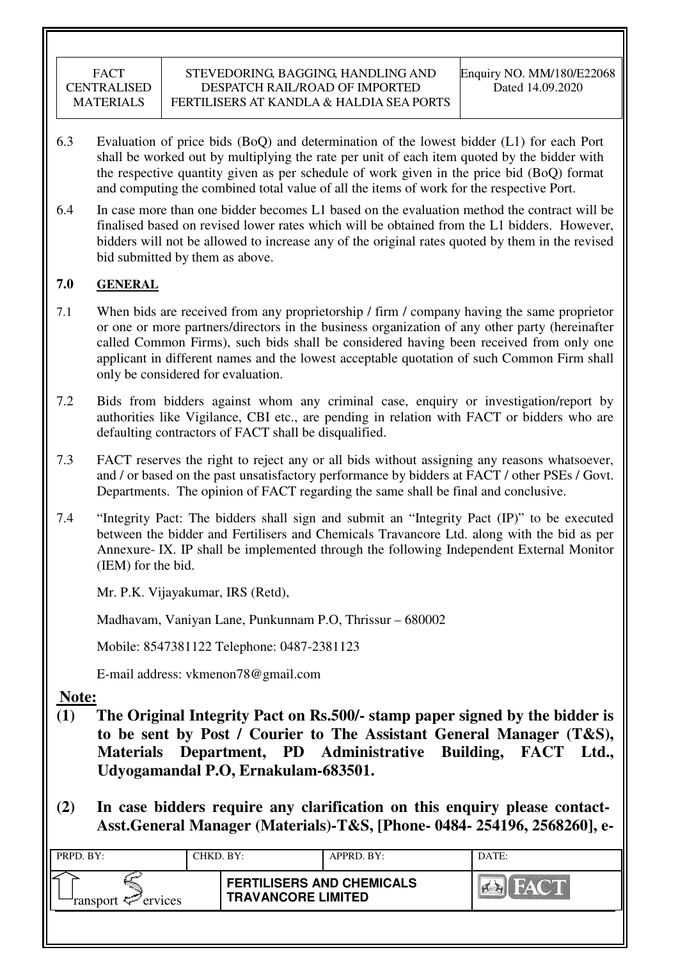- 6.3 Evaluation of price bids (BoQ) and determination of the lowest bidder (L1) for each Port shall be worked out by multiplying the rate per unit of each item quoted by the bidder with the respective quantity given as per schedule of work given in the price bid (BoQ) format and computing the combined total value of all the items of work for the respective Port.
- 6.4 In case more than one bidder becomes L1 based on the evaluation method the contract will be finalised based on revised lower rates which will be obtained from the L1 bidders. However, bidders will not be allowed to increase any of the original rates quoted by them in the revised bid submitted by them as above.

# **7.0 GENERAL**

- 7.1 When bids are received from any proprietorship / firm / company having the same proprietor or one or more partners/directors in the business organization of any other party (hereinafter called Common Firms), such bids shall be considered having been received from only one applicant in different names and the lowest acceptable quotation of such Common Firm shall only be considered for evaluation.
- 7.2 Bids from bidders against whom any criminal case, enquiry or investigation/report by authorities like Vigilance, CBI etc., are pending in relation with FACT or bidders who are defaulting contractors of FACT shall be disqualified.
- 7.3 FACT reserves the right to reject any or all bids without assigning any reasons whatsoever, and / or based on the past unsatisfactory performance by bidders at FACT / other PSEs / Govt. Departments. The opinion of FACT regarding the same shall be final and conclusive.
- 7.4 "Integrity Pact: The bidders shall sign and submit an "Integrity Pact (IP)" to be executed between the bidder and Fertilisers and Chemicals Travancore Ltd. along with the bid as per Annexure- IX. IP shall be implemented through the following Independent External Monitor (IEM) for the bid.

Mr. P.K. Vijayakumar, IRS (Retd),

Madhavam, Vaniyan Lane, Punkunnam P.O, Thrissur – 680002

Mobile: 8547381122 Telephone: 0487-2381123

E-mail address: vkmenon78@gmail.com

**Note:**

- **(1) The Original Integrity Pact on Rs.500/- stamp paper signed by the bidder is to be sent by Post / Courier to The Assistant General Manager (T&S), Materials Department, PD Administrative Building, FACT Ltd., Udyogamandal P.O, Ernakulam-683501.**
- **(2) In case bidders require any clarification on this enquiry please contact-Asst.General Manager (Materials)-T&S, [Phone- 0484- 254196, 2568260], e-**

| PRPD. BY:              | CHKD. BY: |                                                               | APPRD. BY: | DATE:  |
|------------------------|-----------|---------------------------------------------------------------|------------|--------|
| ransport $\ll$ ervices |           | <b>FERTILISERS AND CHEMICALS</b><br><b>TRAVANCORE LIMITED</b> |            | I CARD |
|                        |           |                                                               |            |        |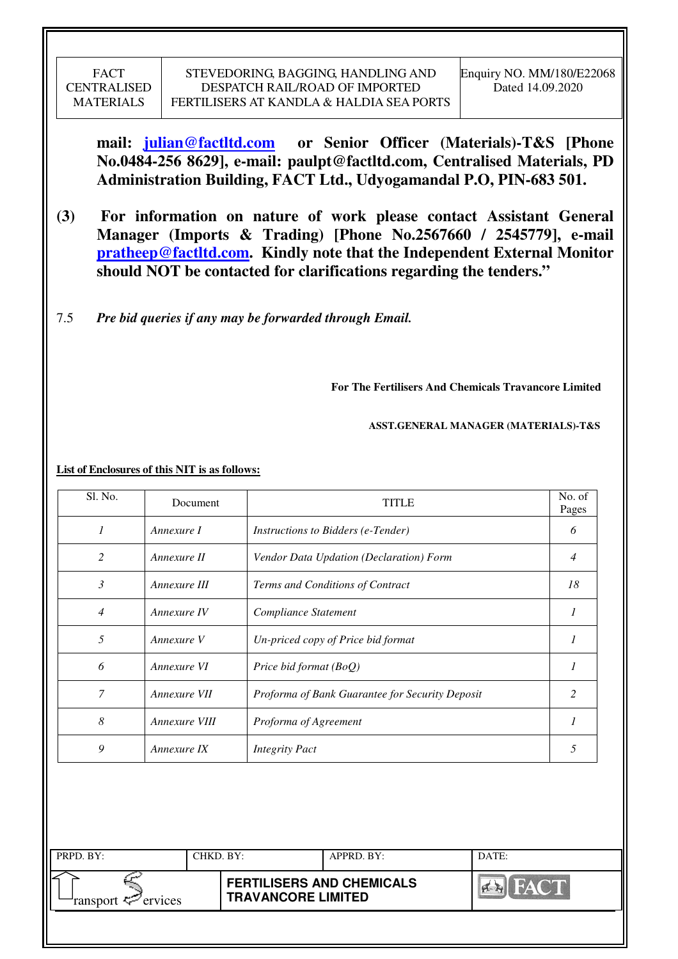**mail: julian@factltd.com or Senior Officer (Materials)-T&S [Phone No.0484-256 8629], e-mail: paulpt@factltd.com, Centralised Materials, PD Administration Building, FACT Ltd., Udyogamandal P.O, PIN-683 501.** 

- **(3) For information on nature of work please contact Assistant General Manager (Imports & Trading) [Phone No.2567660 / 2545779], e-mail pratheep@factltd.com. Kindly note that the Independent External Monitor should NOT be contacted for clarifications regarding the tenders."**
- 7.5 *Pre bid queries if any may be forwarded through Email.*

**For The Fertilisers And Chemicals Travancore Limited** 

 **ASST.GENERAL MANAGER (MATERIALS)-T&S** 

| Sl. No.        | Document      | <b>TITLE</b>                                    | No. of<br>Pages |
|----------------|---------------|-------------------------------------------------|-----------------|
| 1              | Annexure I    | <i>Instructions to Bidders (e-Tender)</i>       | 6               |
| 2              | Annexure II   | Vendor Data Updation (Declaration) Form         | $\overline{4}$  |
| $\mathfrak{Z}$ | Annexure III  | Terms and Conditions of Contract                | 18              |
| $\overline{4}$ | Annexure IV   | Compliance Statement                            | 1               |
| 5              | Annexure V    | Un-priced copy of Price bid format              | 1               |
| 6              | Annexure VI   | Price bid format (BoQ)                          | 1               |
| 7              | Annexure VII  | Proforma of Bank Guarantee for Security Deposit | 2               |
| 8              | Annexure VIII | Proforma of Agreement                           | 1               |
| 9              | Annexure IX   | <b>Integrity Pact</b>                           | 5               |

| <b>FERTILISERS AND CHEMICALS</b><br><b>TRAVANCORE LIMITED</b> | PRPD. BY:                        | CHKD. BY: |  | APPRD. BY: | DATE: |
|---------------------------------------------------------------|----------------------------------|-----------|--|------------|-------|
|                                                               | ransport < <sup>pr</sup> ervices |           |  |            |       |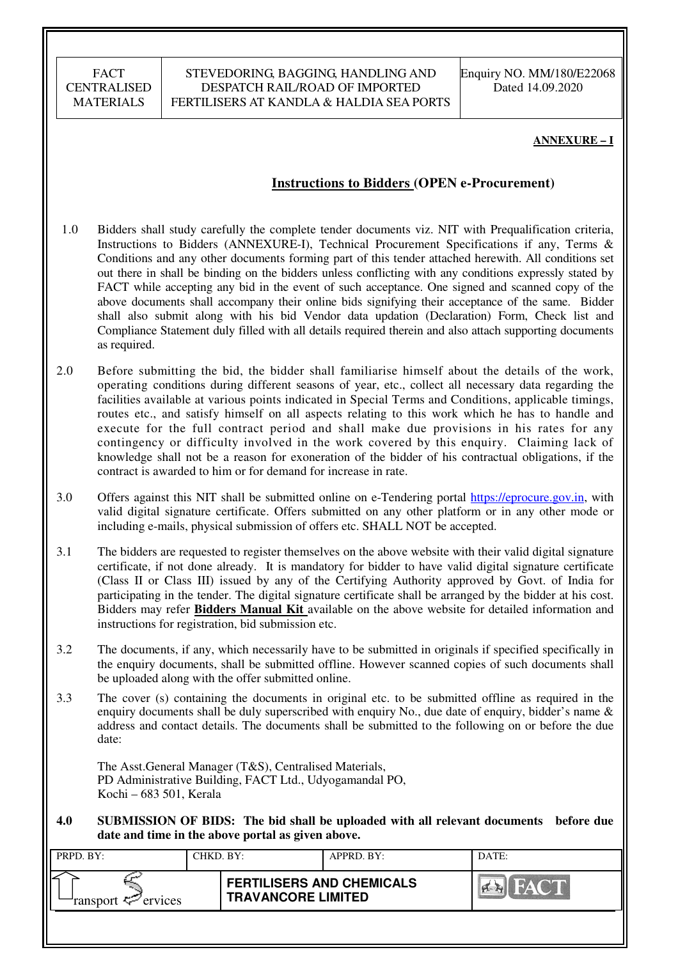#### STEVEDORING, BAGGING, HANDLING AND DESPATCH RAIL/ROAD OF IMPORTED FERTILISERS AT KANDLA & HALDIA SEA PORTS

Enquiry NO. MM/180/E22068 Dated 14.09.2020

#### **ANNEXURE – I**

## **Instructions to Bidders (OPEN e-Procurement)**

- 1.0 Bidders shall study carefully the complete tender documents viz. NIT with Prequalification criteria, Instructions to Bidders (ANNEXURE-I), Technical Procurement Specifications if any, Terms & Conditions and any other documents forming part of this tender attached herewith. All conditions set out there in shall be binding on the bidders unless conflicting with any conditions expressly stated by FACT while accepting any bid in the event of such acceptance. One signed and scanned copy of the above documents shall accompany their online bids signifying their acceptance of the same. Bidder shall also submit along with his bid Vendor data updation (Declaration) Form, Check list and Compliance Statement duly filled with all details required therein and also attach supporting documents as required.
- 2.0 Before submitting the bid, the bidder shall familiarise himself about the details of the work, operating conditions during different seasons of year, etc., collect all necessary data regarding the facilities available at various points indicated in Special Terms and Conditions, applicable timings, routes etc., and satisfy himself on all aspects relating to this work which he has to handle and execute for the full contract period and shall make due provisions in his rates for any contingency or difficulty involved in the work covered by this enquiry. Claiming lack of knowledge shall not be a reason for exoneration of the bidder of his contractual obligations, if the contract is awarded to him or for demand for increase in rate.
- 3.0 Offers against this NIT shall be submitted online on e-Tendering portal https://eprocure.gov.in, with valid digital signature certificate. Offers submitted on any other platform or in any other mode or including e-mails, physical submission of offers etc. SHALL NOT be accepted.
- 3.1 The bidders are requested to register themselves on the above website with their valid digital signature certificate, if not done already. It is mandatory for bidder to have valid digital signature certificate (Class II or Class III) issued by any of the Certifying Authority approved by Govt. of India for participating in the tender. The digital signature certificate shall be arranged by the bidder at his cost. Bidders may refer **Bidders Manual Kit** available on the above website for detailed information and instructions for registration, bid submission etc.
- 3.2 The documents, if any, which necessarily have to be submitted in originals if specified specifically in the enquiry documents, shall be submitted offline. However scanned copies of such documents shall be uploaded along with the offer submitted online.
- 3.3 The cover (s) containing the documents in original etc. to be submitted offline as required in the enquiry documents shall be duly superscribed with enquiry No., due date of enquiry, bidder's name & address and contact details. The documents shall be submitted to the following on or before the due date:

The Asst.General Manager (T&S), Centralised Materials, PD Administrative Building, FACT Ltd., Udyogamandal PO, Kochi – 683 501, Kerala

**4.0 SUBMISSION OF BIDS: The bid shall be uploaded with all relevant documents before due date and time in the above portal as given above.** 

| PRPD. BY:              | CHKD. BY: |                                                               | APPRD. BY: | DATE:  |
|------------------------|-----------|---------------------------------------------------------------|------------|--------|
| ransport $\ll$ ervices |           | <b>FERTILISERS AND CHEMICALS</b><br><b>TRAVANCORE LIMITED</b> |            | $\sim$ |
|                        |           |                                                               |            |        |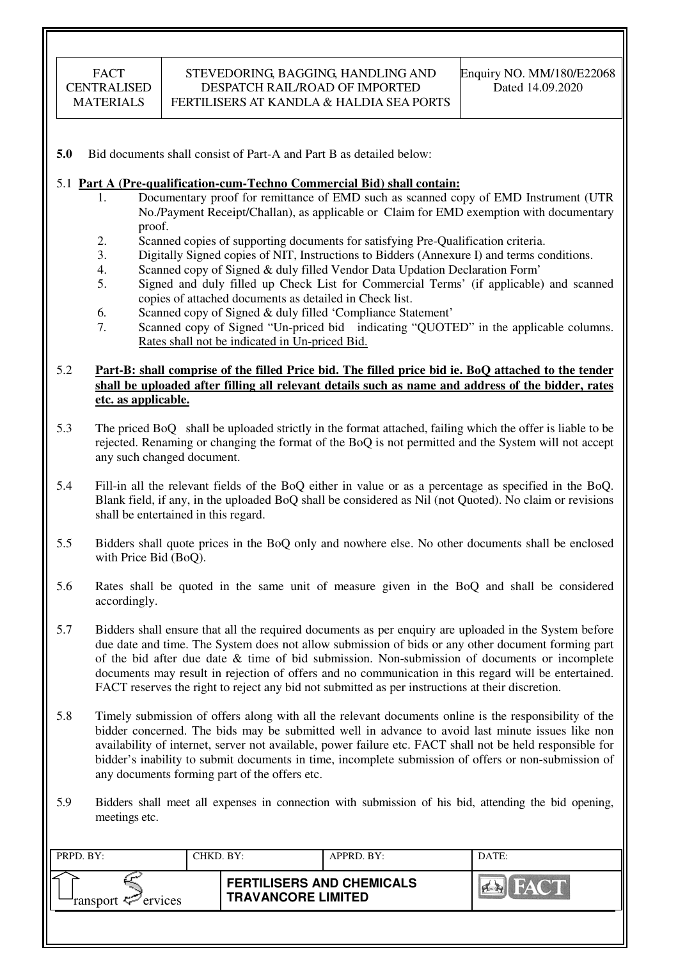**5.0** Bid documents shall consist of Part-A and Part B as detailed below:

#### 5.1 **Part A (Pre-qualification-cum-Techno Commercial Bid) shall contain:**

- 1. Documentary proof for remittance of EMD such as scanned copy of EMD Instrument (UTR No./Payment Receipt/Challan), as applicable or Claim for EMD exemption with documentary proof.
- 2. Scanned copies of supporting documents for satisfying Pre-Qualification criteria.
- 3. Digitally Signed copies of NIT, Instructions to Bidders (Annexure I) and terms conditions.
- 4. Scanned copy of Signed & duly filled Vendor Data Updation Declaration Form'
- 5. Signed and duly filled up Check List for Commercial Terms' (if applicable) and scanned copies of attached documents as detailed in Check list.
- 6. Scanned copy of Signed & duly filled 'Compliance Statement'
- 7. Scanned copy of Signed "Un-priced bid indicating "QUOTED" in the applicable columns. Rates shall not be indicated in Un-priced Bid.

#### 5.2 **Part-B: shall comprise of the filled Price bid. The filled price bid ie. BoQ attached to the tender shall be uploaded after filling all relevant details such as name and address of the bidder, rates etc. as applicable.**

- 5.3 The priced BoQ shall be uploaded strictly in the format attached, failing which the offer is liable to be rejected. Renaming or changing the format of the BoQ is not permitted and the System will not accept any such changed document.
- 5.4 Fill-in all the relevant fields of the BoQ either in value or as a percentage as specified in the BoQ. Blank field, if any, in the uploaded BoQ shall be considered as Nil (not Quoted). No claim or revisions shall be entertained in this regard.
- 5.5 Bidders shall quote prices in the BoQ only and nowhere else. No other documents shall be enclosed with Price Bid (BoQ).
- 5.6 Rates shall be quoted in the same unit of measure given in the BoQ and shall be considered accordingly.
- 5.7 Bidders shall ensure that all the required documents as per enquiry are uploaded in the System before due date and time. The System does not allow submission of bids or any other document forming part of the bid after due date & time of bid submission. Non-submission of documents or incomplete documents may result in rejection of offers and no communication in this regard will be entertained. FACT reserves the right to reject any bid not submitted as per instructions at their discretion.
- 5.8 Timely submission of offers along with all the relevant documents online is the responsibility of the bidder concerned. The bids may be submitted well in advance to avoid last minute issues like non availability of internet, server not available, power failure etc. FACT shall not be held responsible for bidder's inability to submit documents in time, incomplete submission of offers or non-submission of any documents forming part of the offers etc.
- 5.9 Bidders shall meet all expenses in connection with submission of his bid, attending the bid opening, meetings etc.

| PRPD. BY:                     | CHKD. BY: |                                                               | APPRD. BY: | DATE:       |
|-------------------------------|-----------|---------------------------------------------------------------|------------|-------------|
| ransport <sup>2</sup> ervices |           | <b>FERTILISERS AND CHEMICALS</b><br><b>TRAVANCORE LIMITED</b> |            | <b>FACT</b> |
|                               |           |                                                               |            |             |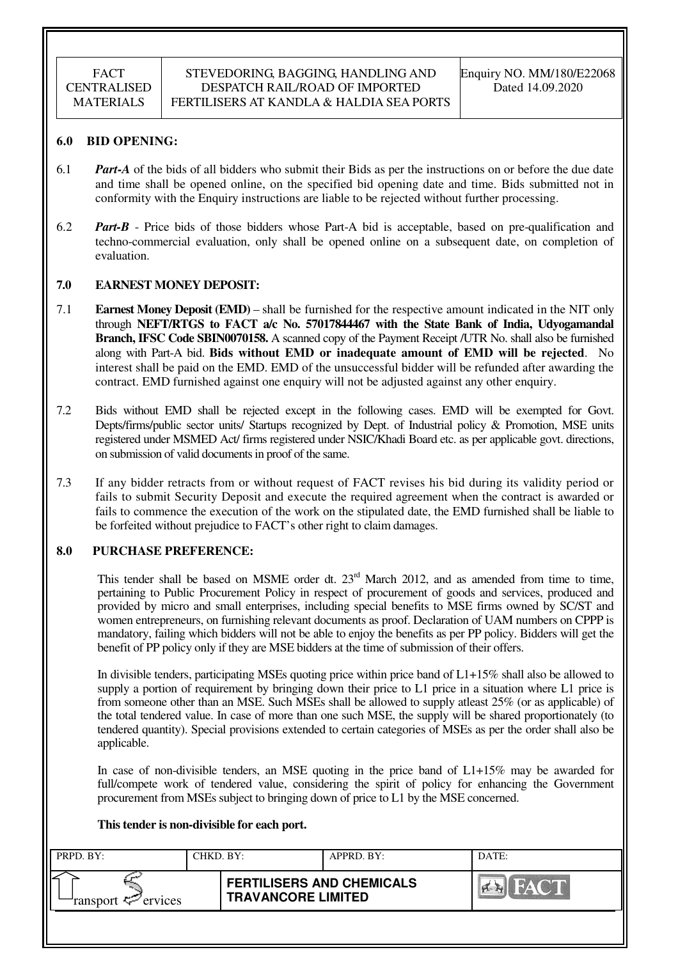#### **6.0 BID OPENING:**

- 6.1 *Part-A* of the bids of all bidders who submit their Bids as per the instructions on or before the due date and time shall be opened online, on the specified bid opening date and time. Bids submitted not in conformity with the Enquiry instructions are liable to be rejected without further processing.
- 6.2 *Part-B* Price bids of those bidders whose Part-A bid is acceptable, based on pre-qualification and techno-commercial evaluation, only shall be opened online on a subsequent date, on completion of evaluation.

#### **7.0 EARNEST MONEY DEPOSIT:**

- 7.1 **Earnest Money Deposit (EMD)** shall be furnished for the respective amount indicated in the NIT only through **NEFT/RTGS to FACT a/c No. 57017844467 with the State Bank of India, Udyogamandal Branch, IFSC Code SBIN0070158.** A scanned copy of the Payment Receipt /UTR No. shall also be furnished along with Part-A bid. **Bids without EMD or inadequate amount of EMD will be rejected**. No interest shall be paid on the EMD. EMD of the unsuccessful bidder will be refunded after awarding the contract. EMD furnished against one enquiry will not be adjusted against any other enquiry.
- 7.2 Bids without EMD shall be rejected except in the following cases. EMD will be exempted for Govt. Depts/firms/public sector units/ Startups recognized by Dept. of Industrial policy & Promotion, MSE units registered under MSMED Act/ firms registered under NSIC/Khadi Board etc. as per applicable govt. directions, on submission of valid documents in proof of the same.
- 7.3 If any bidder retracts from or without request of FACT revises his bid during its validity period or fails to submit Security Deposit and execute the required agreement when the contract is awarded or fails to commence the execution of the work on the stipulated date, the EMD furnished shall be liable to be forfeited without prejudice to FACT's other right to claim damages.

#### **8.0 PURCHASE PREFERENCE:**

This tender shall be based on MSME order dt.  $23<sup>rd</sup>$  March 2012, and as amended from time to time, pertaining to Public Procurement Policy in respect of procurement of goods and services, produced and provided by micro and small enterprises, including special benefits to MSE firms owned by SC/ST and women entrepreneurs, on furnishing relevant documents as proof. Declaration of UAM numbers on CPPP is mandatory, failing which bidders will not be able to enjoy the benefits as per PP policy. Bidders will get the benefit of PP policy only if they are MSE bidders at the time of submission of their offers.

In divisible tenders, participating MSEs quoting price within price band of L1+15% shall also be allowed to supply a portion of requirement by bringing down their price to L1 price in a situation where L1 price is from someone other than an MSE. Such MSEs shall be allowed to supply atleast 25% (or as applicable) of the total tendered value. In case of more than one such MSE, the supply will be shared proportionately (to tendered quantity). Special provisions extended to certain categories of MSEs as per the order shall also be applicable.

In case of non-divisible tenders, an MSE quoting in the price band of L1+15% may be awarded for full/compete work of tendered value, considering the spirit of policy for enhancing the Government procurement from MSEs subject to bringing down of price to L1 by the MSE concerned.

#### **This tender is non-divisible for each port.**

| PRPD. BY:                     | CHKD. BY: |                                                               | APPRD. BY: | DATE: |
|-------------------------------|-----------|---------------------------------------------------------------|------------|-------|
| ransport <sup>2</sup> ervices |           | <b>FERTILISERS AND CHEMICALS</b><br><b>TRAVANCORE LIMITED</b> |            | FACT  |
|                               |           |                                                               |            |       |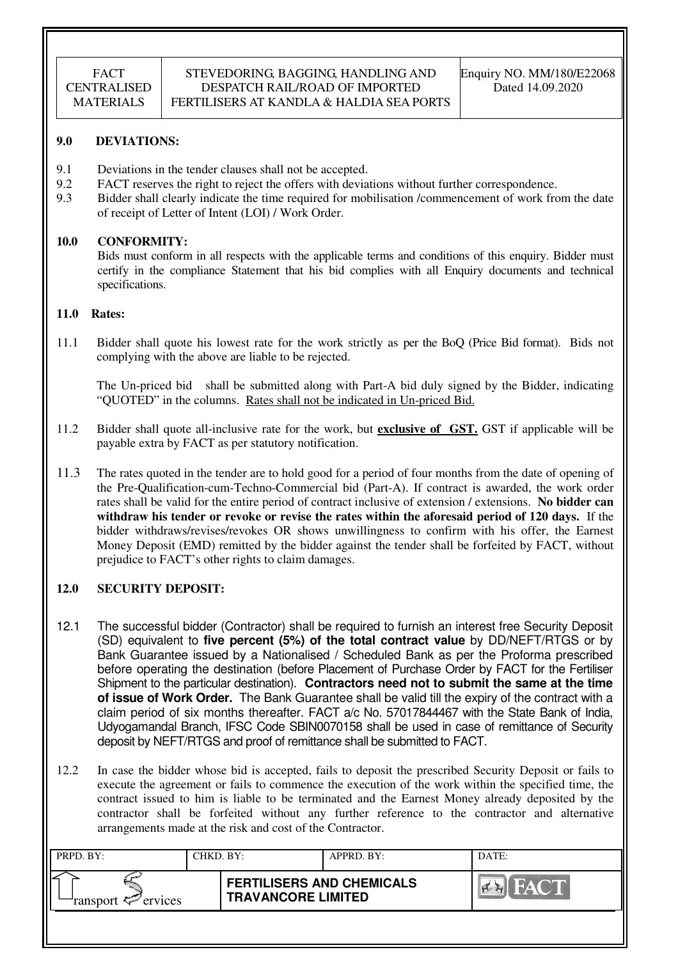#### **9.0 DEVIATIONS:**

- 9.1 Deviations in the tender clauses shall not be accepted.
- 9.2 FACT reserves the right to reject the offers with deviations without further correspondence.
- 9.3 Bidder shall clearly indicate the time required for mobilisation /commencement of work from the date of receipt of Letter of Intent (LOI) / Work Order.

#### **10.0 CONFORMITY:**

Bids must conform in all respects with the applicable terms and conditions of this enquiry. Bidder must certify in the compliance Statement that his bid complies with all Enquiry documents and technical specifications.

#### **11.0 Rates:**

11.1 Bidder shall quote his lowest rate for the work strictly as per the BoQ (Price Bid format). Bids not complying with the above are liable to be rejected.

The Un-priced bid shall be submitted along with Part-A bid duly signed by the Bidder, indicating "QUOTED" in the columns. Rates shall not be indicated in Un-priced Bid.

- 11.2 Bidder shall quote all-inclusive rate for the work, but **exclusive of GST.** GST if applicable will be payable extra by FACT as per statutory notification.
- 11.3 The rates quoted in the tender are to hold good for a period of four months from the date of opening of the Pre-Qualification-cum-Techno-Commercial bid (Part-A). If contract is awarded, the work order rates shall be valid for the entire period of contract inclusive of extension / extensions. **No bidder can withdraw his tender or revoke or revise the rates within the aforesaid period of 120 days.** If the bidder withdraws/revises/revokes OR shows unwillingness to confirm with his offer, the Earnest Money Deposit (EMD) remitted by the bidder against the tender shall be forfeited by FACT, without prejudice to FACT's other rights to claim damages.

## **12.0 SECURITY DEPOSIT:**

- 12.1 The successful bidder (Contractor) shall be required to furnish an interest free Security Deposit (SD) equivalent to **five percent (5%) of the total contract value** by DD/NEFT/RTGS or by Bank Guarantee issued by a Nationalised / Scheduled Bank as per the Proforma prescribed before operating the destination (before Placement of Purchase Order by FACT for the Fertiliser Shipment to the particular destination). **Contractors need not to submit the same at the time of issue of Work Order.** The Bank Guarantee shall be valid till the expiry of the contract with a claim period of six months thereafter. FACT a/c No. 57017844467 with the State Bank of India, Udyogamandal Branch, IFSC Code SBIN0070158 shall be used in case of remittance of Security deposit by NEFT/RTGS and proof of remittance shall be submitted to FACT.
- 12.2 In case the bidder whose bid is accepted, fails to deposit the prescribed Security Deposit or fails to execute the agreement or fails to commence the execution of the work within the specified time, the contract issued to him is liable to be terminated and the Earnest Money already deposited by the contractor shall be forfeited without any further reference to the contractor and alternative arrangements made at the risk and cost of the Contractor.

| PRPD. BY:                     | CHKD. BY: |                                                               | APPRD. BY: | DATE:                     |
|-------------------------------|-----------|---------------------------------------------------------------|------------|---------------------------|
| ransport <sup>2</sup> ervices |           | <b>FERTILISERS AND CHEMICALS</b><br><b>TRAVANCORE LIMITED</b> |            | <b>FACT</b><br><b>PER</b> |
|                               |           |                                                               |            |                           |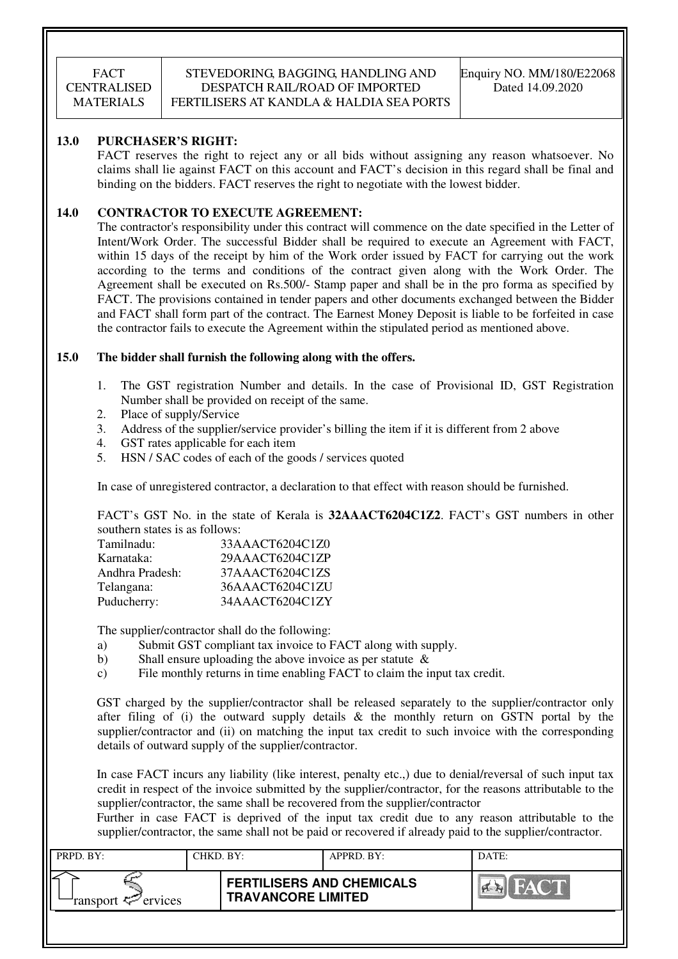### STEVEDORING, BAGGING, HANDLING AND DESPATCH RAIL/ROAD OF IMPORTED FERTILISERS AT KANDLA & HALDIA SEA PORTS

#### **13.0 PURCHASER'S RIGHT:**

 FACT reserves the right to reject any or all bids without assigning any reason whatsoever. No claims shall lie against FACT on this account and FACT's decision in this regard shall be final and binding on the bidders. FACT reserves the right to negotiate with the lowest bidder.

## **14.0 CONTRACTOR TO EXECUTE AGREEMENT:**

 The contractor's responsibility under this contract will commence on the date specified in the Letter of Intent/Work Order. The successful Bidder shall be required to execute an Agreement with FACT, within 15 days of the receipt by him of the Work order issued by FACT for carrying out the work according to the terms and conditions of the contract given along with the Work Order. The Agreement shall be executed on Rs.500/- Stamp paper and shall be in the pro forma as specified by FACT. The provisions contained in tender papers and other documents exchanged between the Bidder and FACT shall form part of the contract. The Earnest Money Deposit is liable to be forfeited in case the contractor fails to execute the Agreement within the stipulated period as mentioned above.

#### **15.0 The bidder shall furnish the following along with the offers.**

- 1. The GST registration Number and details. In the case of Provisional ID, GST Registration Number shall be provided on receipt of the same.
- 2. Place of supply/Service
- 3. Address of the supplier/service provider's billing the item if it is different from 2 above
- 4. GST rates applicable for each item
- 5. HSN / SAC codes of each of the goods / services quoted

In case of unregistered contractor, a declaration to that effect with reason should be furnished.

FACT's GST No. in the state of Kerala is **32AAACT6204C1Z2**. FACT's GST numbers in other southern states is as follows:

| Tamilnadu:      | 33AAACT6204C1Z0 |
|-----------------|-----------------|
| Karnataka:      | 29AAACT6204C1ZP |
| Andhra Pradesh: | 37AAACT6204C1ZS |
| Telangana:      | 36AAACT6204C1ZU |
| Puducherry:     | 34AAACT6204C1ZY |

The supplier/contractor shall do the following:

- a) Submit GST compliant tax invoice to FACT along with supply.
- b) Shall ensure uploading the above invoice as per statute  $\&$
- c) File monthly returns in time enabling FACT to claim the input tax credit.

GST charged by the supplier/contractor shall be released separately to the supplier/contractor only after filing of (i) the outward supply details  $\&$  the monthly return on GSTN portal by the supplier/contractor and (ii) on matching the input tax credit to such invoice with the corresponding details of outward supply of the supplier/contractor.

In case FACT incurs any liability (like interest, penalty etc.,) due to denial/reversal of such input tax credit in respect of the invoice submitted by the supplier/contractor, for the reasons attributable to the supplier/contractor, the same shall be recovered from the supplier/contractor

Further in case FACT is deprived of the input tax credit due to any reason attributable to the supplier/contractor, the same shall not be paid or recovered if already paid to the supplier/contractor.

| PRPD. BY:              | CHKD. BY: |                                                               | APPRD. BY: | DATE: |
|------------------------|-----------|---------------------------------------------------------------|------------|-------|
| ransport $\ll$ ervices |           | <b>FERTILISERS AND CHEMICALS</b><br><b>TRAVANCORE LIMITED</b> |            | FACT  |
|                        |           |                                                               |            |       |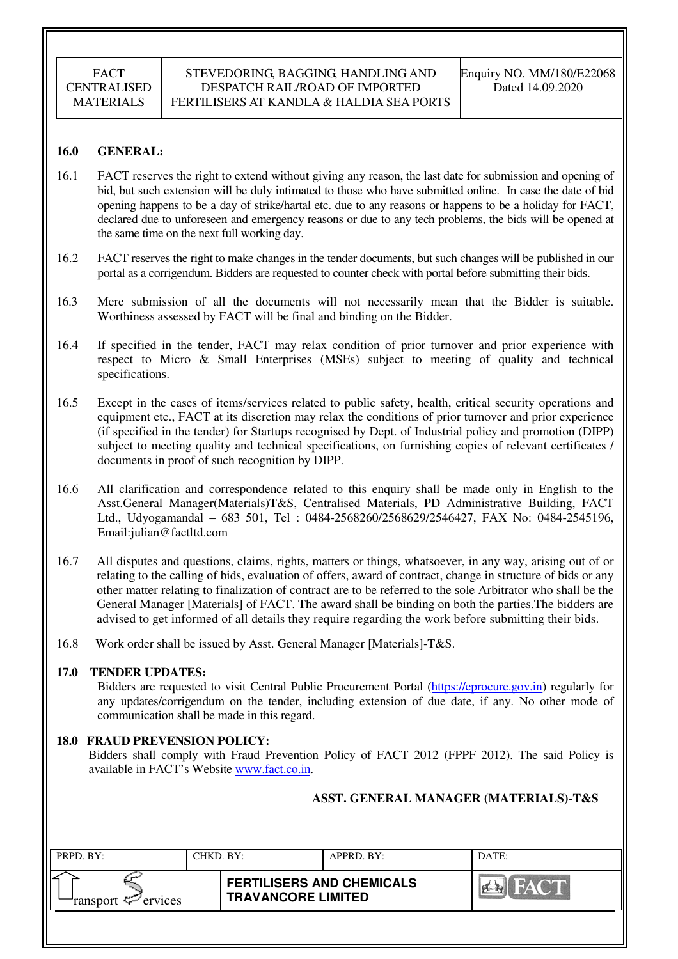#### **16.0 GENERAL:**

- 16.1 FACT reserves the right to extend without giving any reason, the last date for submission and opening of bid, but such extension will be duly intimated to those who have submitted online. In case the date of bid opening happens to be a day of strike/hartal etc. due to any reasons or happens to be a holiday for FACT, declared due to unforeseen and emergency reasons or due to any tech problems, the bids will be opened at the same time on the next full working day.
- 16.2 FACT reserves the right to make changes in the tender documents, but such changes will be published in our portal as a corrigendum. Bidders are requested to counter check with portal before submitting their bids.
- 16.3 Mere submission of all the documents will not necessarily mean that the Bidder is suitable. Worthiness assessed by FACT will be final and binding on the Bidder.
- 16.4 If specified in the tender, FACT may relax condition of prior turnover and prior experience with respect to Micro & Small Enterprises (MSEs) subject to meeting of quality and technical specifications.
- 16.5 Except in the cases of items/services related to public safety, health, critical security operations and equipment etc., FACT at its discretion may relax the conditions of prior turnover and prior experience (if specified in the tender) for Startups recognised by Dept. of Industrial policy and promotion (DIPP) subject to meeting quality and technical specifications, on furnishing copies of relevant certificates / documents in proof of such recognition by DIPP.
- 16.6 All clarification and correspondence related to this enquiry shall be made only in English to the Asst.General Manager(Materials)T&S, Centralised Materials, PD Administrative Building, FACT Ltd., Udyogamandal – 683 501, Tel : 0484-2568260/2568629/2546427, FAX No: 0484-2545196, Email:julian@factltd.com
- 16.7 All disputes and questions, claims, rights, matters or things, whatsoever, in any way, arising out of or relating to the calling of bids, evaluation of offers, award of contract, change in structure of bids or any other matter relating to finalization of contract are to be referred to the sole Arbitrator who shall be the General Manager [Materials] of FACT. The award shall be binding on both the parties.The bidders are advised to get informed of all details they require regarding the work before submitting their bids.
- 16.8 Work order shall be issued by Asst. General Manager [Materials]-T&S.

#### **17.0 TENDER UPDATES:**

Bidders are requested to visit Central Public Procurement Portal (https://eprocure.gov.in) regularly for any updates/corrigendum on the tender, including extension of due date, if any. No other mode of communication shall be made in this regard.

## **18.0 FRAUD PREVENSION POLICY:**

Bidders shall comply with Fraud Prevention Policy of FACT 2012 (FPPF 2012). The said Policy is available in FACT's Website www.fact.co.in.

#### **ASST. GENERAL MANAGER (MATERIALS)-T&S**

| PRPD. BY:              | CHKD. BY: |                                                               | APPRD. BY: | DATE:       |
|------------------------|-----------|---------------------------------------------------------------|------------|-------------|
| ransport $\ll$ ervices |           | <b>FERTILISERS AND CHEMICALS</b><br><b>TRAVANCORE LIMITED</b> |            | THE YAN SHE |
|                        |           |                                                               |            |             |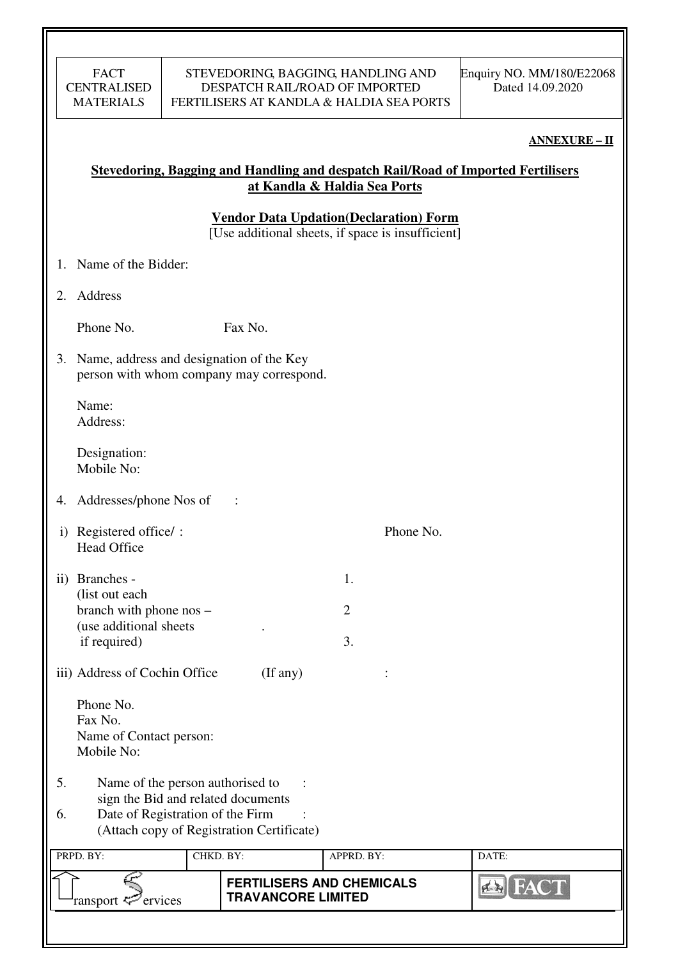#### **ANNEXURE – II**

# **Stevedoring, Bagging and Handling and despatch Rail/Road of Imported Fertilisers at Kandla & Haldia Sea Ports**

**Vendor Data Updation(Declaration) Form** 

 $\overline{[Use additional sheets, if space is insufficient]}$ 

- 1. Name of the Bidder:
- 2. Address

Phone No. Fax No.

3. Name, address and designation of the Key person with whom company may correspond.

Name: Address:

Designation: Mobile No:

- 4. Addresses/phone Nos of :
- i) Registered office/ : Phone No. Head Office
- ii) Branches 1. (list out each branch with phone  $\cos$  – 2 (use additional sheets . if required) 3.

iii) Address of Cochin Office (If any) :

 Phone No. Fax No. Name of Contact person: Mobile No:

- 5. Name of the person authorised to : sign the Bid and related documents
- 6. Date of Registration of the Firm : (Attach copy of Registration Certificate)

| PRPD. BY:                  | CHKD. BY: |                                                               | APPRD. BY: | DATE:       |
|----------------------------|-----------|---------------------------------------------------------------|------------|-------------|
| ransport $\approx$ ervices |           | <b>FERTILISERS AND CHEMICALS</b><br><b>TRAVANCORE LIMITED</b> |            | <b>NAVI</b> |
|                            |           |                                                               |            |             |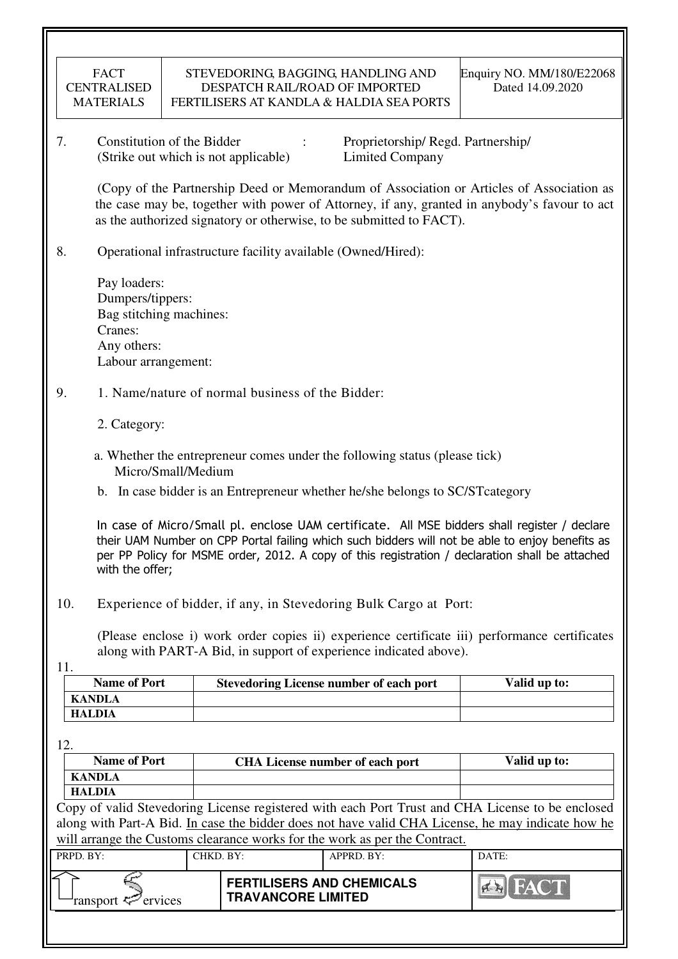| FACT               |
|--------------------|
| <b>CENTRALISED</b> |
| <b>MATERIALS</b>   |

7. Constitution of the Bidder : Proprietorship/ Regd. Partnership/ (Strike out which is not applicable) Limited Company

 (Copy of the Partnership Deed or Memorandum of Association or Articles of Association as the case may be, together with power of Attorney, if any, granted in anybody's favour to act as the authorized signatory or otherwise, to be submitted to FACT).

8. Operational infrastructure facility available (Owned/Hired):

 Pay loaders: Dumpers/tippers: Bag stitching machines: Cranes: Any others: Labour arrangement:

## 9. 1. Name/nature of normal business of the Bidder:

- 2. Category:
- a. Whether the entrepreneur comes under the following status (please tick) Micro/Small/Medium
- b. In case bidder is an Entrepreneur whether he/she belongs to SC/STcategory

In case of Micro/Small pl. enclose UAM certificate. All MSE bidders shall register / declare their UAM Number on CPP Portal failing which such bidders will not be able to enjoy benefits as per PP Policy for MSME order, 2012. A copy of this registration / declaration shall be attached with the offer;

10. Experience of bidder, if any, in Stevedoring Bulk Cargo at Port:

(Please enclose i) work order copies ii) experience certificate iii) performance certificates along with PART-A Bid, in support of experience indicated above).

11.

| <b>Name of Port</b> | <b>Stevedoring License number of each port</b> | Valid up to: |
|---------------------|------------------------------------------------|--------------|
| <b>KANDLA</b>       |                                                |              |
| <b>HALDIA</b>       |                                                |              |

12.

| <b>Name of Port</b>  |                                                               | <b>CHA License number of each port</b>                                                                                                                                                                | Valid up to:   |
|----------------------|---------------------------------------------------------------|-------------------------------------------------------------------------------------------------------------------------------------------------------------------------------------------------------|----------------|
| <b>KANDLA</b>        |                                                               |                                                                                                                                                                                                       |                |
| <b>HALDIA</b>        |                                                               |                                                                                                                                                                                                       |                |
|                      |                                                               | Copy of valid Stevedoring License registered with each Port Trust and CHA License to be enclosed<br>along with Part-A Bid. In case the bidder does not have valid CHA License, he may indicate how he |                |
|                      |                                                               | will arrange the Customs clearance works for the work as per the Contract.                                                                                                                            |                |
| PRPD. BY:            | CHKD. BY:                                                     | APPRD. BY:                                                                                                                                                                                            | DATE:          |
| ervices<br>'ransport | <b>FERTILISERS AND CHEMICALS</b><br><b>TRAVANCORE LIMITED</b> |                                                                                                                                                                                                       | <b>EN FACT</b> |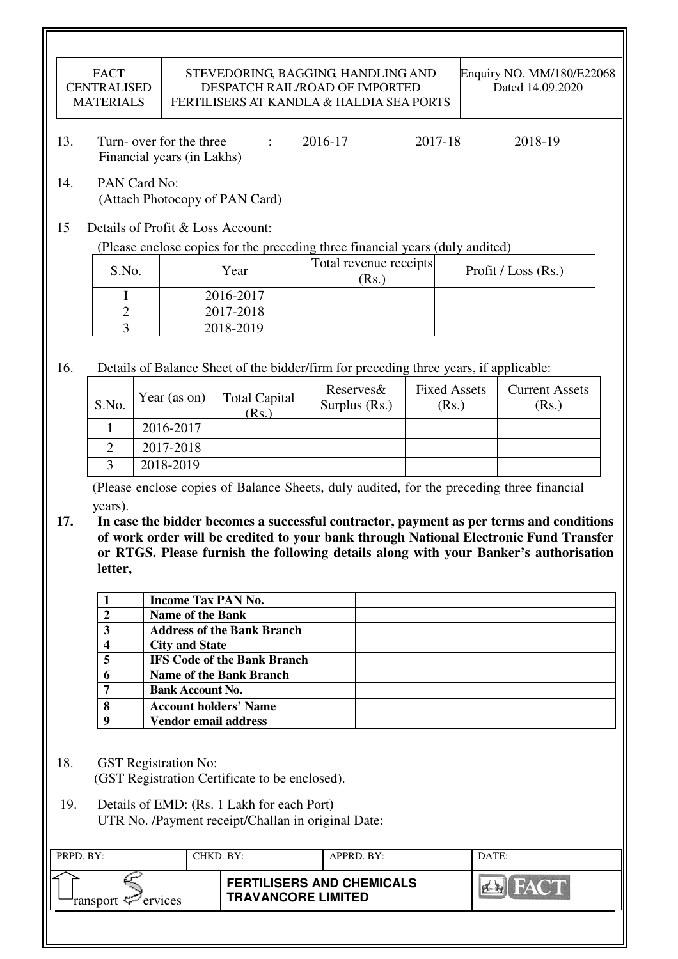|            | <b>FACT</b><br><b>CENTRALISED</b><br><b>MATERIALS</b> |                                                        | STEVEDORING, BAGGING, HANDLING AND<br>DESPATCH RAIL/ROAD OF IMPORTED<br>FERTILISERS AT KANDLA & HALDIA SEA PORTS                                   |         |                                 |         |                              | Enquiry NO. MM/180/E22068<br>Dated 14.09.2020                                                                                                                                                                                                                            |
|------------|-------------------------------------------------------|--------------------------------------------------------|----------------------------------------------------------------------------------------------------------------------------------------------------|---------|---------------------------------|---------|------------------------------|--------------------------------------------------------------------------------------------------------------------------------------------------------------------------------------------------------------------------------------------------------------------------|
| 13.        |                                                       | Turn- over for the three<br>Financial years (in Lakhs) | $\ddot{\cdot}$                                                                                                                                     | 2016-17 |                                 | 2017-18 |                              | 2018-19                                                                                                                                                                                                                                                                  |
| 14.        | PAN Card No:                                          |                                                        | (Attach Photocopy of PAN Card)                                                                                                                     |         |                                 |         |                              |                                                                                                                                                                                                                                                                          |
| 15         |                                                       |                                                        | Details of Profit & Loss Account:<br>(Please enclose copies for the preceding three financial years (duly audited)                                 |         |                                 |         |                              |                                                                                                                                                                                                                                                                          |
|            | S.No.                                                 |                                                        | Year                                                                                                                                               |         | Total revenue receipts<br>(Rs.) |         |                              | Profit / Loss (Rs.)                                                                                                                                                                                                                                                      |
|            | I                                                     |                                                        | 2016-2017                                                                                                                                          |         |                                 |         |                              |                                                                                                                                                                                                                                                                          |
|            | $\overline{2}$                                        |                                                        | 2017-2018                                                                                                                                          |         |                                 |         |                              |                                                                                                                                                                                                                                                                          |
|            | $\overline{3}$                                        |                                                        | 2018-2019                                                                                                                                          |         |                                 |         |                              |                                                                                                                                                                                                                                                                          |
|            |                                                       |                                                        |                                                                                                                                                    |         |                                 |         |                              |                                                                                                                                                                                                                                                                          |
| 16.        |                                                       |                                                        | Details of Balance Sheet of the bidder/firm for preceding three years, if applicable:                                                              |         |                                 |         |                              |                                                                                                                                                                                                                                                                          |
|            | S.No.                                                 | Year (as on)                                           | <b>Total Capital</b><br>(Rs.)                                                                                                                      |         | Reserves&<br>Surplus (Rs.)      |         | <b>Fixed Assets</b><br>(Rs.) | <b>Current Assets</b><br>(Rs.)                                                                                                                                                                                                                                           |
|            | $\mathbf{1}$                                          | 2016-2017                                              |                                                                                                                                                    |         |                                 |         |                              |                                                                                                                                                                                                                                                                          |
|            | $\overline{2}$                                        | 2017-2018                                              |                                                                                                                                                    |         |                                 |         |                              |                                                                                                                                                                                                                                                                          |
|            | 3                                                     | 2018-2019                                              |                                                                                                                                                    |         |                                 |         |                              |                                                                                                                                                                                                                                                                          |
| 17.        | years).<br>letter,                                    |                                                        |                                                                                                                                                    |         |                                 |         |                              | In case the bidder becomes a successful contractor, payment as per terms and conditions<br>of work order will be credited to your bank through National Electronic Fund Transfer<br>or RTGS. Please furnish the following details along with your Banker's authorisation |
|            | 1                                                     |                                                        | <b>Income Tax PAN No.</b>                                                                                                                          |         |                                 |         |                              |                                                                                                                                                                                                                                                                          |
|            | $\overline{2}$                                        | <b>Name of the Bank</b>                                |                                                                                                                                                    |         |                                 |         |                              |                                                                                                                                                                                                                                                                          |
|            | 3                                                     |                                                        | <b>Address of the Bank Branch</b>                                                                                                                  |         |                                 |         |                              |                                                                                                                                                                                                                                                                          |
|            | 4                                                     | <b>City and State</b>                                  |                                                                                                                                                    |         |                                 |         |                              |                                                                                                                                                                                                                                                                          |
|            | 5                                                     |                                                        | <b>IFS Code of the Bank Branch</b>                                                                                                                 |         |                                 |         |                              |                                                                                                                                                                                                                                                                          |
|            | 6                                                     |                                                        | Name of the Bank Branch                                                                                                                            |         |                                 |         |                              |                                                                                                                                                                                                                                                                          |
|            | 7                                                     | <b>Bank Account No.</b>                                |                                                                                                                                                    |         |                                 |         |                              |                                                                                                                                                                                                                                                                          |
|            | 8                                                     |                                                        | <b>Account holders' Name</b>                                                                                                                       |         |                                 |         |                              |                                                                                                                                                                                                                                                                          |
|            | 9                                                     |                                                        | Vendor email address                                                                                                                               |         |                                 |         |                              |                                                                                                                                                                                                                                                                          |
| 18.<br>19. |                                                       | <b>GST</b> Registration No:                            | (GST Registration Certificate to be enclosed).<br>Details of EMD: (Rs. 1 Lakh for each Port)<br>UTR No. /Payment receipt/Challan in original Date: |         |                                 |         |                              |                                                                                                                                                                                                                                                                          |
| PRPD. BY:  |                                                       |                                                        | CHKD. BY:                                                                                                                                          |         | APPRD. BY:                      |         | DATE:                        |                                                                                                                                                                                                                                                                          |
|            |                                                       |                                                        |                                                                                                                                                    |         |                                 |         |                              |                                                                                                                                                                                                                                                                          |
|            | ransport <                                            | ervices                                                | <b>FERTILISERS AND CHEMICALS</b><br><b>TRAVANCORE LIMITED</b>                                                                                      |         |                                 |         |                              |                                                                                                                                                                                                                                                                          |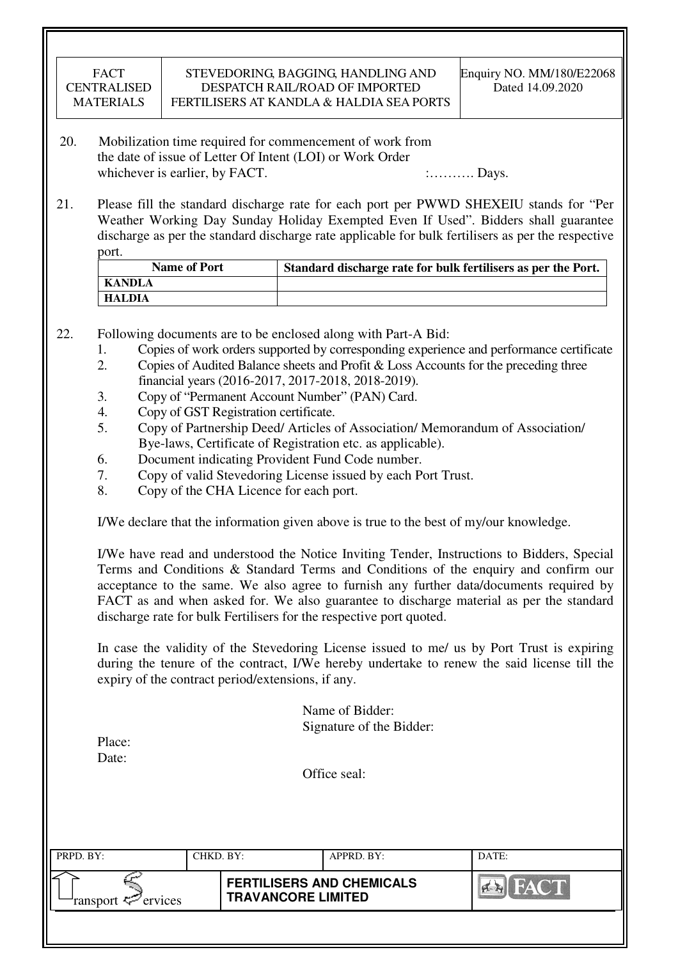| <b>FACT</b> |
|-------------|
| CENTRALISED |
| MATERIALS   |

- 20. Mobilization time required for commencement of work from the date of issue of Letter Of Intent (LOI) or Work Order whichever is earlier, by FACT.  $\ldots$  : Days.
- 21. Please fill the standard discharge rate for each port per PWWD SHEXEIU stands for "Per Weather Working Day Sunday Holiday Exempted Even If Used". Bidders shall guarantee discharge as per the standard discharge rate applicable for bulk fertilisers as per the respective port.

| <b>Name of Port</b> | Standard discharge rate for bulk fertilisers as per the Port. |
|---------------------|---------------------------------------------------------------|
| KANDLA              |                                                               |
| HALDIA              |                                                               |

- 22. Following documents are to be enclosed along with Part-A Bid:
	- 1. Copies of work orders supported by corresponding experience and performance certificate
	- 2. Copies of Audited Balance sheets and Profit & Loss Accounts for the preceding three financial years (2016-2017, 2017-2018, 2018-2019).
	- 3. Copy of "Permanent Account Number" (PAN) Card.
	- 4. Copy of GST Registration certificate.
	- 5. Copy of Partnership Deed/ Articles of Association/ Memorandum of Association/ Bye-laws, Certificate of Registration etc. as applicable).
	- 6. Document indicating Provident Fund Code number.
	- 7. Copy of valid Stevedoring License issued by each Port Trust.
	- 8. Copy of the CHA Licence for each port.

I/We declare that the information given above is true to the best of my/our knowledge.

 I/We have read and understood the Notice Inviting Tender, Instructions to Bidders, Special Terms and Conditions & Standard Terms and Conditions of the enquiry and confirm our acceptance to the same. We also agree to furnish any further data/documents required by FACT as and when asked for. We also guarantee to discharge material as per the standard discharge rate for bulk Fertilisers for the respective port quoted.

In case the validity of the Stevedoring License issued to me/ us by Port Trust is expiring during the tenure of the contract, I/We hereby undertake to renew the said license till the expiry of the contract period/extensions, if any.

> Name of Bidder: Signature of the Bidder:

| Place: |  |
|--------|--|
| Date:  |  |

Office seal:

| PRPD. BY:              | CHKD. BY: |                                                               | APPRD. BY: | DATE: |
|------------------------|-----------|---------------------------------------------------------------|------------|-------|
| ransport $\ll$ ervices |           | <b>FERTILISERS AND CHEMICALS</b><br><b>TRAVANCORE LIMITED</b> |            | FACT. |
|                        |           |                                                               |            |       |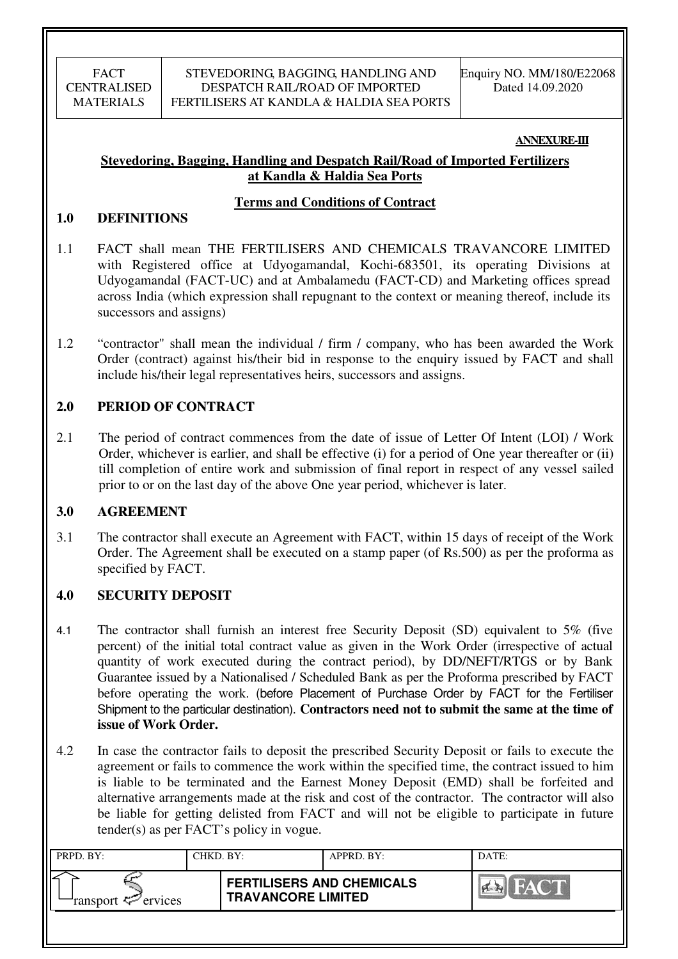#### **ANNEXURE-III**

## **Stevedoring, Bagging, Handling and Despatch Rail/Road of Imported Fertilizers at Kandla & Haldia Sea Ports**

## **Terms and Conditions of Contract**

## **1.0 DEFINITIONS**

- 1.1 FACT shall mean THE FERTILISERS AND CHEMICALS TRAVANCORE LIMITED with Registered office at Udyogamandal, Kochi-683501, its operating Divisions at Udyogamandal (FACT-UC) and at Ambalamedu (FACT-CD) and Marketing offices spread across India (which expression shall repugnant to the context or meaning thereof, include its successors and assigns)
- 1.2 "contractor" shall mean the individual / firm / company, who has been awarded the Work Order (contract) against his/their bid in response to the enquiry issued by FACT and shall include his/their legal representatives heirs, successors and assigns.

## **2.0 PERIOD OF CONTRACT**

2.1 The period of contract commences from the date of issue of Letter Of Intent (LOI) / Work Order, whichever is earlier, and shall be effective (i) for a period of One year thereafter or (ii) till completion of entire work and submission of final report in respect of any vessel sailed prior to or on the last day of the above One year period, whichever is later.

## **3.0 AGREEMENT**

3.1 The contractor shall execute an Agreement with FACT, within 15 days of receipt of the Work Order. The Agreement shall be executed on a stamp paper (of Rs.500) as per the proforma as specified by FACT.

## **4.0 SECURITY DEPOSIT**

- 4.1 The contractor shall furnish an interest free Security Deposit (SD) equivalent to 5% (five percent) of the initial total contract value as given in the Work Order (irrespective of actual quantity of work executed during the contract period), by DD/NEFT/RTGS or by Bank Guarantee issued by a Nationalised / Scheduled Bank as per the Proforma prescribed by FACT before operating the work. (before Placement of Purchase Order by FACT for the Fertiliser Shipment to the particular destination). **Contractors need not to submit the same at the time of issue of Work Order.**
- 4.2 In case the contractor fails to deposit the prescribed Security Deposit or fails to execute the agreement or fails to commence the work within the specified time, the contract issued to him is liable to be terminated and the Earnest Money Deposit (EMD) shall be forfeited and alternative arrangements made at the risk and cost of the contractor. The contractor will also be liable for getting delisted from FACT and will not be eligible to participate in future tender(s) as per FACT's policy in vogue.

| PRPD. BY:                     | CHKD. BY: |                                                               | APPRD. BY: | DATE:               |
|-------------------------------|-----------|---------------------------------------------------------------|------------|---------------------|
| ransport <sup>2</sup> ervices |           | <b>FERTILISERS AND CHEMICALS</b><br><b>TRAVANCORE LIMITED</b> |            | HACT<br>I Correi Ka |
|                               |           |                                                               |            |                     |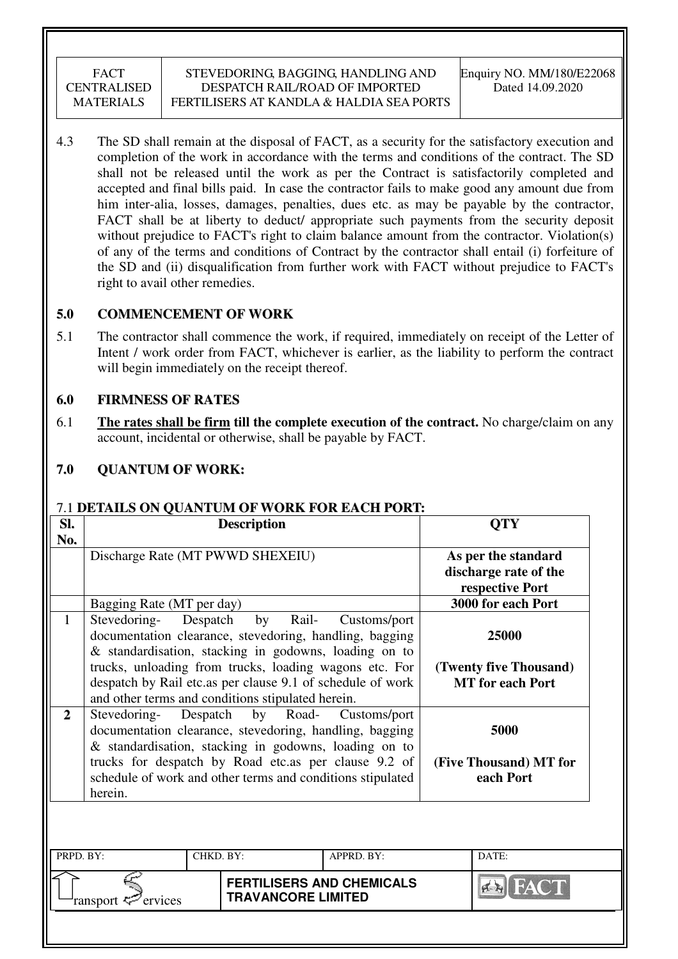4.3 The SD shall remain at the disposal of FACT, as a security for the satisfactory execution and completion of the work in accordance with the terms and conditions of the contract. The SD shall not be released until the work as per the Contract is satisfactorily completed and accepted and final bills paid. In case the contractor fails to make good any amount due from him inter-alia, losses, damages, penalties, dues etc. as may be payable by the contractor, FACT shall be at liberty to deduct/ appropriate such payments from the security deposit without prejudice to FACT's right to claim balance amount from the contractor. Violation(s) of any of the terms and conditions of Contract by the contractor shall entail (i) forfeiture of the SD and (ii) disqualification from further work with FACT without prejudice to FACT's right to avail other remedies.

## **5.0 COMMENCEMENT OF WORK**

5.1 The contractor shall commence the work, if required, immediately on receipt of the Letter of Intent / work order from FACT, whichever is earlier, as the liability to perform the contract will begin immediately on the receipt thereof.

## **6.0 FIRMNESS OF RATES**

6.1 **The rates shall be firm till the complete execution of the contract.** No charge/claim on any account, incidental or otherwise, shall be payable by FACT.

# **7.0 QUANTUM OF WORK:**

## 7.1 **DETAILS ON QUANTUM OF WORK FOR EACH PORT:**

| SI.          |                           | <b>Description</b>                                                                                                                                                                                                                                                                                                       |              | <b>QTY</b>                                                      |
|--------------|---------------------------|--------------------------------------------------------------------------------------------------------------------------------------------------------------------------------------------------------------------------------------------------------------------------------------------------------------------------|--------------|-----------------------------------------------------------------|
| No.          |                           | Discharge Rate (MT PWWD SHEXEIU)                                                                                                                                                                                                                                                                                         |              | As per the standard<br>discharge rate of the<br>respective Port |
|              | Bagging Rate (MT per day) |                                                                                                                                                                                                                                                                                                                          |              | 3000 for each Port                                              |
| 1            | Stevedoring-              | Despatch<br>by<br>Rail-<br>documentation clearance, stevedoring, handling, bagging<br>& standardisation, stacking in godowns, loading on to<br>trucks, unloading from trucks, loading wagons etc. For<br>despatch by Rail etc.as per clause 9.1 of schedule of work<br>and other terms and conditions stipulated herein. | Customs/port | 25000<br>(Twenty five Thousand)<br><b>MT</b> for each Port      |
| $\mathbf{2}$ | Stevedoring-<br>herein.   | Despatch<br>by Road-<br>documentation clearance, stevedoring, handling, bagging<br>& standardisation, stacking in godowns, loading on to<br>trucks for despatch by Road etc.as per clause 9.2 of<br>schedule of work and other terms and conditions stipulated                                                           | Customs/port | 5000<br>(Five Thousand) MT for<br>each Port                     |
| PRPD. BY:    |                           | CHKD. BY:                                                                                                                                                                                                                                                                                                                | APPRD. BY:   | DATE:                                                           |
|              |                           | <b>FERTILISERS AND CHEMICALS</b>                                                                                                                                                                                                                                                                                         |              |                                                                 |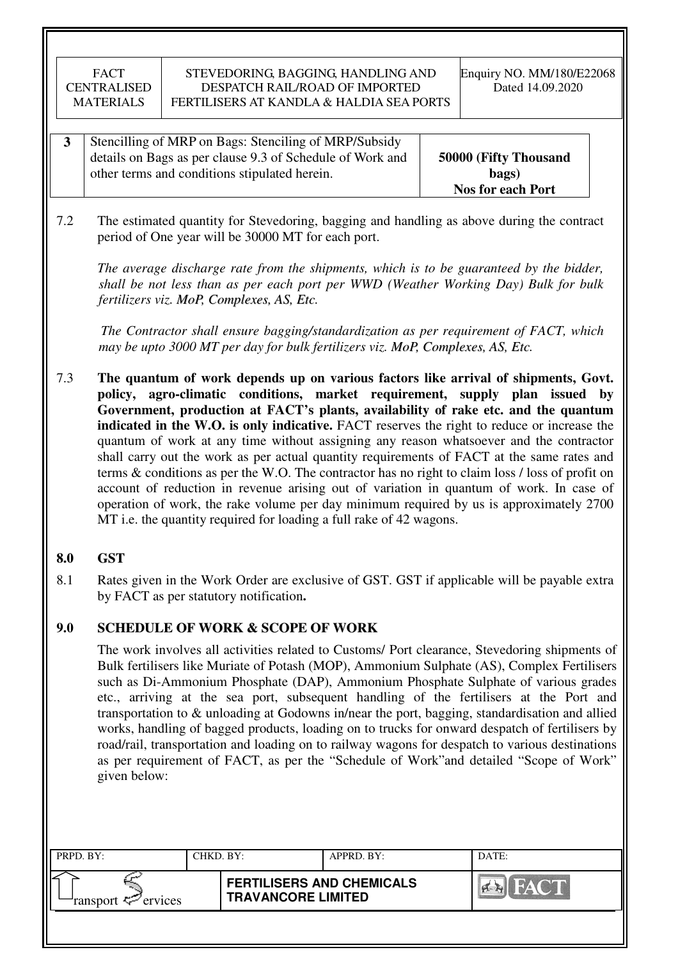| Stencilling of MRP on Bags: Stenciling of MRP/Subsidy     |                          |
|-----------------------------------------------------------|--------------------------|
| details on Bags as per clause 9.3 of Schedule of Work and | 50000 (Fifty Thousand    |
| other terms and conditions stipulated herein.             | bags)                    |
|                                                           | <b>Nos for each Port</b> |

7.2 The estimated quantity for Stevedoring, bagging and handling as above during the contract period of One year will be 30000 MT for each port.

*The average discharge rate from the shipments, which is to be guaranteed by the bidder, shall be not less than as per each port per WWD (Weather Working Day) Bulk for bulk fertilizers viz. MoP, Complexes, AS, Etc.*

 *The Contractor shall ensure bagging/standardization as per requirement of FACT, which may be upto 3000 MT per day for bulk fertilizers viz. MoP, Complexes, AS, Etc.*

7.3 **The quantum of work depends up on various factors like arrival of shipments, Govt. policy, agro-climatic conditions, market requirement, supply plan issued by Government, production at FACT's plants, availability of rake etc. and the quantum indicated in the W.O. is only indicative.** FACT reserves the right to reduce or increase the quantum of work at any time without assigning any reason whatsoever and the contractor shall carry out the work as per actual quantity requirements of FACT at the same rates and terms & conditions as per the W.O. The contractor has no right to claim loss / loss of profit on account of reduction in revenue arising out of variation in quantum of work. In case of operation of work, the rake volume per day minimum required by us is approximately 2700 MT i.e. the quantity required for loading a full rake of 42 wagons.

## **8.0 GST**

8.1 Rates given in the Work Order are exclusive of GST. GST if applicable will be payable extra by FACT as per statutory notification**.** 

## **9.0 SCHEDULE OF WORK & SCOPE OF WORK**

 The work involves all activities related to Customs/ Port clearance, Stevedoring shipments of Bulk fertilisers like Muriate of Potash (MOP), Ammonium Sulphate (AS), Complex Fertilisers such as Di-Ammonium Phosphate (DAP), Ammonium Phosphate Sulphate of various grades etc., arriving at the sea port, subsequent handling of the fertilisers at the Port and transportation to & unloading at Godowns in/near the port, bagging, standardisation and allied works, handling of bagged products, loading on to trucks for onward despatch of fertilisers by road/rail, transportation and loading on to railway wagons for despatch to various destinations as per requirement of FACT, as per the "Schedule of Work"and detailed "Scope of Work" given below:

| PRPD. BY:                 | CHKD. BY: |                                                               | APPRD. BY: | DATE:                 |
|---------------------------|-----------|---------------------------------------------------------------|------------|-----------------------|
| ransport $\sharp$ ervices |           | <b>FERTILISERS AND CHEMICALS</b><br><b>TRAVANCORE LIMITED</b> |            | HACT<br>$\sim$ $\sim$ |
|                           |           |                                                               |            |                       |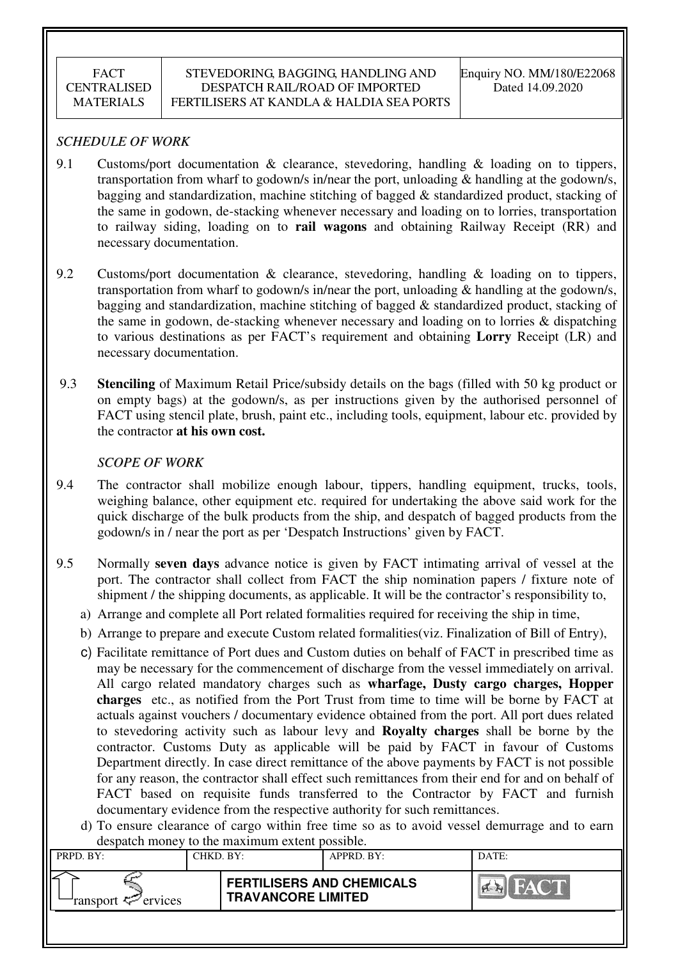## *SCHEDULE OF WORK*

- 9.1 Customs/port documentation & clearance, stevedoring, handling & loading on to tippers, transportation from wharf to godown/s in/near the port, unloading & handling at the godown/s, bagging and standardization, machine stitching of bagged & standardized product, stacking of the same in godown, de-stacking whenever necessary and loading on to lorries, transportation to railway siding, loading on to **rail wagons** and obtaining Railway Receipt (RR) and necessary documentation.
- 9.2 Customs/port documentation & clearance, stevedoring, handling & loading on to tippers, transportation from wharf to godown/s in/near the port, unloading & handling at the godown/s, bagging and standardization, machine stitching of bagged & standardized product, stacking of the same in godown, de-stacking whenever necessary and loading on to lorries & dispatching to various destinations as per FACT's requirement and obtaining **Lorry** Receipt (LR) and necessary documentation.
- 9.3 **Stenciling** of Maximum Retail Price/subsidy details on the bags (filled with 50 kg product or on empty bags) at the godown/s, as per instructions given by the authorised personnel of FACT using stencil plate, brush, paint etc., including tools, equipment, labour etc. provided by the contractor **at his own cost.**

## *SCOPE OF WORK*

- 9.4 The contractor shall mobilize enough labour, tippers, handling equipment, trucks, tools, weighing balance, other equipment etc. required for undertaking the above said work for the quick discharge of the bulk products from the ship, and despatch of bagged products from the godown/s in / near the port as per 'Despatch Instructions' given by FACT.
- 9.5 Normally **seven days** advance notice is given by FACT intimating arrival of vessel at the port. The contractor shall collect from FACT the ship nomination papers / fixture note of shipment / the shipping documents, as applicable. It will be the contractor's responsibility to,
	- a) Arrange and complete all Port related formalities required for receiving the ship in time,
	- b) Arrange to prepare and execute Custom related formalities(viz. Finalization of Bill of Entry),
	- c) Facilitate remittance of Port dues and Custom duties on behalf of FACT in prescribed time as may be necessary for the commencement of discharge from the vessel immediately on arrival. All cargo related mandatory charges such as **wharfage, Dusty cargo charges, Hopper charges** etc., as notified from the Port Trust from time to time will be borne by FACT at actuals against vouchers / documentary evidence obtained from the port. All port dues related to stevedoring activity such as labour levy and **Royalty charges** shall be borne by the contractor. Customs Duty as applicable will be paid by FACT in favour of Customs Department directly. In case direct remittance of the above payments by FACT is not possible for any reason, the contractor shall effect such remittances from their end for and on behalf of FACT based on requisite funds transferred to the Contractor by FACT and furnish documentary evidence from the respective authority for such remittances.
	- d) To ensure clearance of cargo within free time so as to avoid vessel demurrage and to earn despatch money to the maximum extent possible.

| $\alpha$<br>to the mainmann entent poppiole. |           |                                                               |            |       |  |  |
|----------------------------------------------|-----------|---------------------------------------------------------------|------------|-------|--|--|
| PRPD. BY:                                    | CHKD. BY: |                                                               | APPRD. BY: | DATE: |  |  |
| ransport <sup>2</sup> ervices                |           | <b>FERTILISERS AND CHEMICALS</b><br><b>TRAVANCORE LIMITED</b> |            | HAY   |  |  |
|                                              |           |                                                               |            |       |  |  |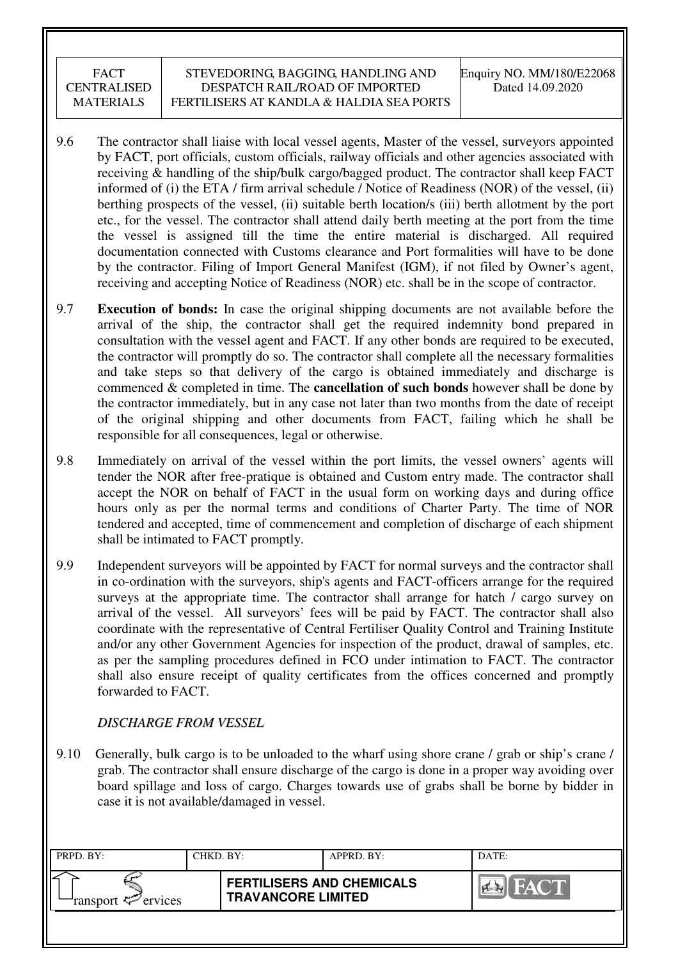- 9.6 The contractor shall liaise with local vessel agents, Master of the vessel, surveyors appointed by FACT, port officials, custom officials, railway officials and other agencies associated with receiving & handling of the ship/bulk cargo/bagged product. The contractor shall keep FACT informed of (i) the ETA / firm arrival schedule / Notice of Readiness (NOR) of the vessel, (ii) berthing prospects of the vessel, (ii) suitable berth location/s (iii) berth allotment by the port etc., for the vessel. The contractor shall attend daily berth meeting at the port from the time the vessel is assigned till the time the entire material is discharged. All required documentation connected with Customs clearance and Port formalities will have to be done by the contractor. Filing of Import General Manifest (IGM), if not filed by Owner's agent, receiving and accepting Notice of Readiness (NOR) etc. shall be in the scope of contractor.
- 9.7 **Execution of bonds:** In case the original shipping documents are not available before the arrival of the ship, the contractor shall get the required indemnity bond prepared in consultation with the vessel agent and FACT. If any other bonds are required to be executed, the contractor will promptly do so. The contractor shall complete all the necessary formalities and take steps so that delivery of the cargo is obtained immediately and discharge is commenced & completed in time. The **cancellation of such bonds** however shall be done by the contractor immediately, but in any case not later than two months from the date of receipt of the original shipping and other documents from FACT, failing which he shall be responsible for all consequences, legal or otherwise.
- 9.8 Immediately on arrival of the vessel within the port limits, the vessel owners' agents will tender the NOR after free-pratique is obtained and Custom entry made. The contractor shall accept the NOR on behalf of FACT in the usual form on working days and during office hours only as per the normal terms and conditions of Charter Party. The time of NOR tendered and accepted, time of commencement and completion of discharge of each shipment shall be intimated to FACT promptly.
- 9.9 Independent surveyors will be appointed by FACT for normal surveys and the contractor shall in co-ordination with the surveyors, ship's agents and FACT-officers arrange for the required surveys at the appropriate time. The contractor shall arrange for hatch / cargo survey on arrival of the vessel. All surveyors' fees will be paid by FACT. The contractor shall also coordinate with the representative of Central Fertiliser Quality Control and Training Institute and/or any other Government Agencies for inspection of the product, drawal of samples, etc. as per the sampling procedures defined in FCO under intimation to FACT. The contractor shall also ensure receipt of quality certificates from the offices concerned and promptly forwarded to FACT.

## *DISCHARGE FROM VESSEL*

9.10 Generally, bulk cargo is to be unloaded to the wharf using shore crane / grab or ship's crane / grab. The contractor shall ensure discharge of the cargo is done in a proper way avoiding over board spillage and loss of cargo. Charges towards use of grabs shall be borne by bidder in case it is not available/damaged in vessel.

| PRPD. BY:                  | CHKD. BY: |                                                               | APPRD. BY: | DATE:                  |
|----------------------------|-----------|---------------------------------------------------------------|------------|------------------------|
| ransport $\approx$ ervices |           | <b>FERTILISERS AND CHEMICALS</b><br><b>TRAVANCORE LIMITED</b> |            | FACT.<br>$\sim$ $\sim$ |
|                            |           |                                                               |            |                        |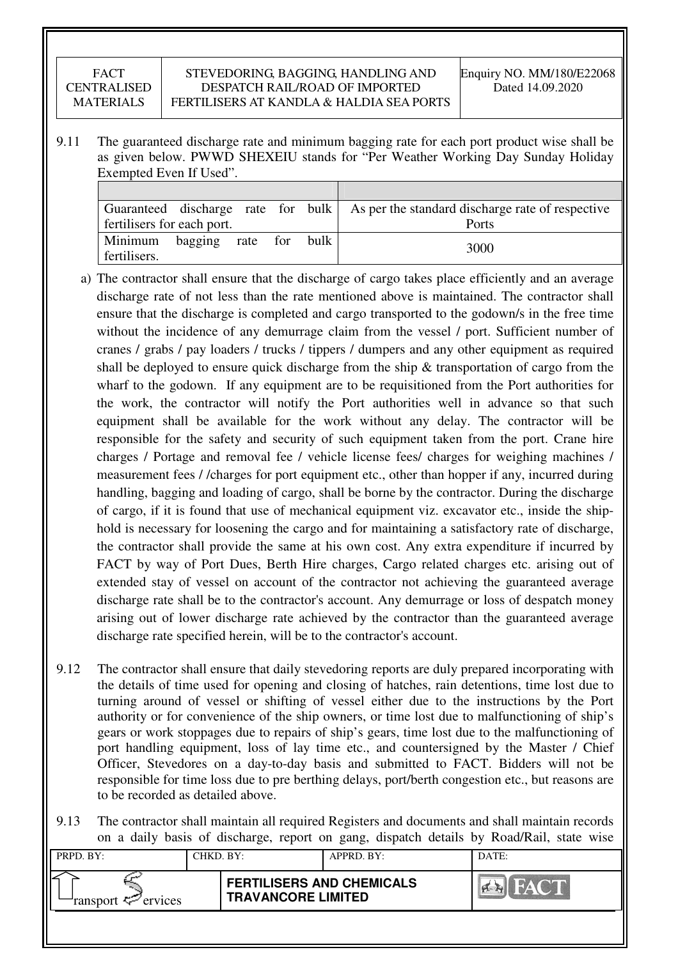#### STEVEDORING, BAGGING, HANDLING AND DESPATCH RAIL/ROAD OF IMPORTED FERTILISERS AT KANDLA & HALDIA SEA PORTS

9.11 The guaranteed discharge rate and minimum bagging rate for each port product wise shall be as given below. PWWD SHEXEIU stands for "Per Weather Working Day Sunday Holiday Exempted Even If Used".

|                            |              |     |      | Guaranteed discharge rate for bulk As per the standard discharge rate of respective |
|----------------------------|--------------|-----|------|-------------------------------------------------------------------------------------|
| fertilisers for each port. |              |     |      | Ports                                                                               |
| Minimum<br>fertilisers.    | bagging rate | for | bulk | 3000                                                                                |

- a) The contractor shall ensure that the discharge of cargo takes place efficiently and an average discharge rate of not less than the rate mentioned above is maintained. The contractor shall ensure that the discharge is completed and cargo transported to the godown/s in the free time without the incidence of any demurrage claim from the vessel / port. Sufficient number of cranes / grabs / pay loaders / trucks / tippers / dumpers and any other equipment as required shall be deployed to ensure quick discharge from the ship  $\&$  transportation of cargo from the wharf to the godown. If any equipment are to be requisitioned from the Port authorities for the work, the contractor will notify the Port authorities well in advance so that such equipment shall be available for the work without any delay. The contractor will be responsible for the safety and security of such equipment taken from the port. Crane hire charges / Portage and removal fee / vehicle license fees/ charges for weighing machines / measurement fees / /charges for port equipment etc., other than hopper if any, incurred during handling, bagging and loading of cargo, shall be borne by the contractor. During the discharge of cargo, if it is found that use of mechanical equipment viz. excavator etc., inside the shiphold is necessary for loosening the cargo and for maintaining a satisfactory rate of discharge, the contractor shall provide the same at his own cost. Any extra expenditure if incurred by FACT by way of Port Dues, Berth Hire charges, Cargo related charges etc. arising out of extended stay of vessel on account of the contractor not achieving the guaranteed average discharge rate shall be to the contractor's account. Any demurrage or loss of despatch money arising out of lower discharge rate achieved by the contractor than the guaranteed average discharge rate specified herein, will be to the contractor's account.
- 9.12 The contractor shall ensure that daily stevedoring reports are duly prepared incorporating with the details of time used for opening and closing of hatches, rain detentions, time lost due to turning around of vessel or shifting of vessel either due to the instructions by the Port authority or for convenience of the ship owners, or time lost due to malfunctioning of ship's gears or work stoppages due to repairs of ship's gears, time lost due to the malfunctioning of port handling equipment, loss of lay time etc., and countersigned by the Master / Chief Officer, Stevedores on a day-to-day basis and submitted to FACT. Bidders will not be responsible for time loss due to pre berthing delays, port/berth congestion etc., but reasons are to be recorded as detailed above.
- 9.13 The contractor shall maintain all required Registers and documents and shall maintain records on a daily basis of discharge, report on gang, dispatch details by Road/Rail, state wise

| PRPD. BY:              | CHKD. BY: |                                                               | APPRD. BY: | DATE:                |
|------------------------|-----------|---------------------------------------------------------------|------------|----------------------|
| ransport $\ll$ ervices |           | <b>FERTILISERS AND CHEMICALS</b><br><b>TRAVANCORE LIMITED</b> |            | <b>THE RAY ON BE</b> |
|                        |           |                                                               |            |                      |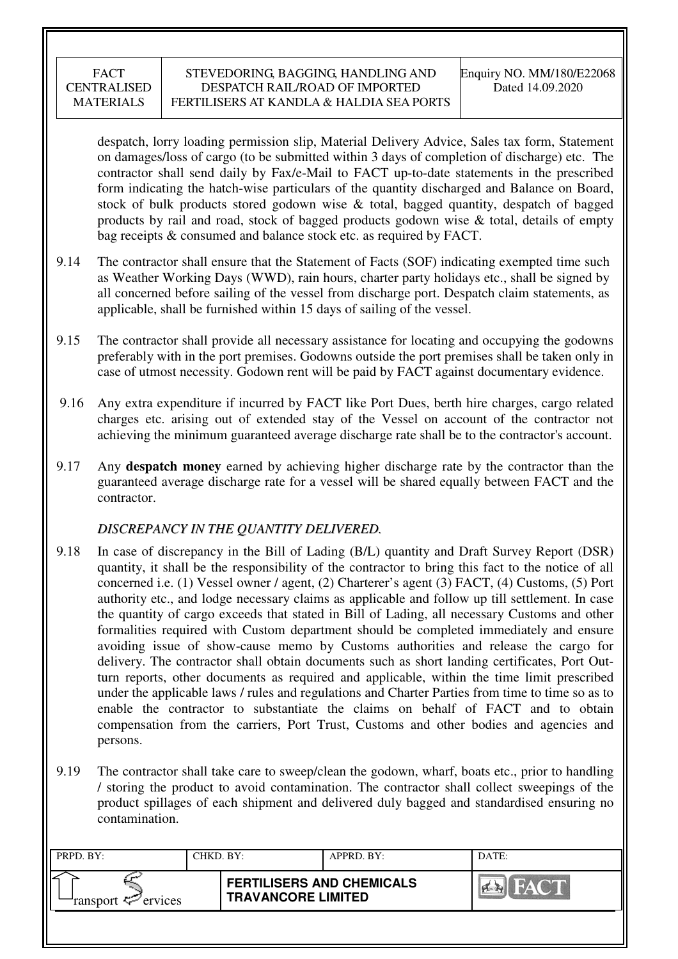despatch, lorry loading permission slip, Material Delivery Advice, Sales tax form, Statement on damages/loss of cargo (to be submitted within 3 days of completion of discharge) etc. The contractor shall send daily by Fax/e-Mail to FACT up-to-date statements in the prescribed form indicating the hatch-wise particulars of the quantity discharged and Balance on Board, stock of bulk products stored godown wise & total, bagged quantity, despatch of bagged products by rail and road, stock of bagged products godown wise & total, details of empty bag receipts & consumed and balance stock etc. as required by FACT.

- 9.14 The contractor shall ensure that the Statement of Facts (SOF) indicating exempted time such as Weather Working Days (WWD), rain hours, charter party holidays etc., shall be signed by all concerned before sailing of the vessel from discharge port. Despatch claim statements, as applicable, shall be furnished within 15 days of sailing of the vessel.
- 9.15 The contractor shall provide all necessary assistance for locating and occupying the godowns preferably with in the port premises. Godowns outside the port premises shall be taken only in case of utmost necessity. Godown rent will be paid by FACT against documentary evidence.
- 9.16 Any extra expenditure if incurred by FACT like Port Dues, berth hire charges, cargo related charges etc. arising out of extended stay of the Vessel on account of the contractor not achieving the minimum guaranteed average discharge rate shall be to the contractor's account.
- 9.17 Any **despatch money** earned by achieving higher discharge rate by the contractor than the guaranteed average discharge rate for a vessel will be shared equally between FACT and the contractor.

## *DISCREPANCY IN THE QUANTITY DELIVERED.*

- 9.18 In case of discrepancy in the Bill of Lading (B/L) quantity and Draft Survey Report (DSR) quantity, it shall be the responsibility of the contractor to bring this fact to the notice of all concerned i.e. (1) Vessel owner / agent, (2) Charterer's agent (3) FACT, (4) Customs, (5) Port authority etc., and lodge necessary claims as applicable and follow up till settlement. In case the quantity of cargo exceeds that stated in Bill of Lading, all necessary Customs and other formalities required with Custom department should be completed immediately and ensure avoiding issue of show-cause memo by Customs authorities and release the cargo for delivery. The contractor shall obtain documents such as short landing certificates, Port Outturn reports, other documents as required and applicable, within the time limit prescribed under the applicable laws / rules and regulations and Charter Parties from time to time so as to enable the contractor to substantiate the claims on behalf of FACT and to obtain compensation from the carriers, Port Trust, Customs and other bodies and agencies and persons.
- 9.19 The contractor shall take care to sweep/clean the godown, wharf, boats etc., prior to handling / storing the product to avoid contamination. The contractor shall collect sweepings of the product spillages of each shipment and delivered duly bagged and standardised ensuring no contamination.

| PRPD. BY:                                | CHKD. BY: |                                                               | APPRD. BY: | DATE: |
|------------------------------------------|-----------|---------------------------------------------------------------|------------|-------|
| ransport $\epsilon$ <sup>-</sup> ervices |           | <b>FERTILISERS AND CHEMICALS</b><br><b>TRAVANCORE LIMITED</b> |            | FACT  |
|                                          |           |                                                               |            |       |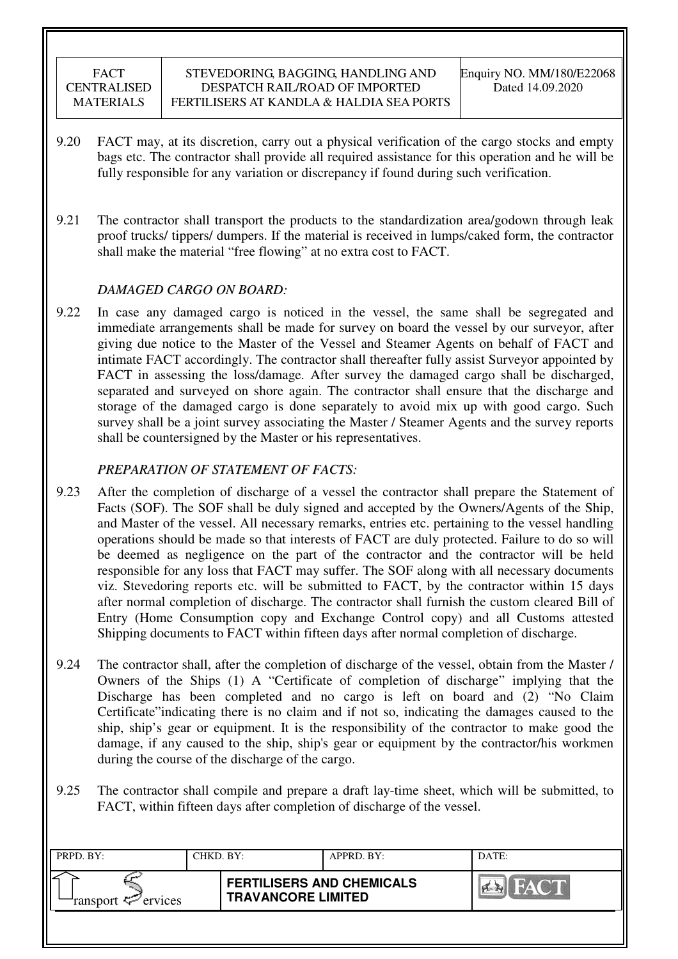- 9.20 FACT may, at its discretion, carry out a physical verification of the cargo stocks and empty bags etc. The contractor shall provide all required assistance for this operation and he will be fully responsible for any variation or discrepancy if found during such verification.
- 9.21 The contractor shall transport the products to the standardization area/godown through leak proof trucks/ tippers/ dumpers. If the material is received in lumps/caked form, the contractor shall make the material "free flowing" at no extra cost to FACT.

## *DAMAGED CARGO ON BOARD:*

9.22 In case any damaged cargo is noticed in the vessel, the same shall be segregated and immediate arrangements shall be made for survey on board the vessel by our surveyor, after giving due notice to the Master of the Vessel and Steamer Agents on behalf of FACT and intimate FACT accordingly. The contractor shall thereafter fully assist Surveyor appointed by FACT in assessing the loss/damage. After survey the damaged cargo shall be discharged, separated and surveyed on shore again. The contractor shall ensure that the discharge and storage of the damaged cargo is done separately to avoid mix up with good cargo. Such survey shall be a joint survey associating the Master / Steamer Agents and the survey reports shall be countersigned by the Master or his representatives.

## *PREPARATION OF STATEMENT OF FACTS:*

- 9.23 After the completion of discharge of a vessel the contractor shall prepare the Statement of Facts (SOF). The SOF shall be duly signed and accepted by the Owners/Agents of the Ship, and Master of the vessel. All necessary remarks, entries etc. pertaining to the vessel handling operations should be made so that interests of FACT are duly protected. Failure to do so will be deemed as negligence on the part of the contractor and the contractor will be held responsible for any loss that FACT may suffer. The SOF along with all necessary documents viz. Stevedoring reports etc. will be submitted to FACT, by the contractor within 15 days after normal completion of discharge. The contractor shall furnish the custom cleared Bill of Entry (Home Consumption copy and Exchange Control copy) and all Customs attested Shipping documents to FACT within fifteen days after normal completion of discharge.
- 9.24 The contractor shall, after the completion of discharge of the vessel, obtain from the Master / Owners of the Ships (1) A "Certificate of completion of discharge" implying that the Discharge has been completed and no cargo is left on board and (2) "No Claim Certificate"indicating there is no claim and if not so, indicating the damages caused to the ship, ship's gear or equipment. It is the responsibility of the contractor to make good the damage, if any caused to the ship, ship's gear or equipment by the contractor/his workmen during the course of the discharge of the cargo.
- 9.25 The contractor shall compile and prepare a draft lay-time sheet, which will be submitted, to FACT, within fifteen days after completion of discharge of the vessel.

| PRPD. BY:                      | CHKD. BY: |                                                               | APPRD. BY: | DATE:              |
|--------------------------------|-----------|---------------------------------------------------------------|------------|--------------------|
| ransport $\mathcal{P}$ ervices |           | <b>FERTILISERS AND CHEMICALS</b><br><b>TRAVANCORE LIMITED</b> |            | FACT<br><b>PER</b> |
|                                |           |                                                               |            |                    |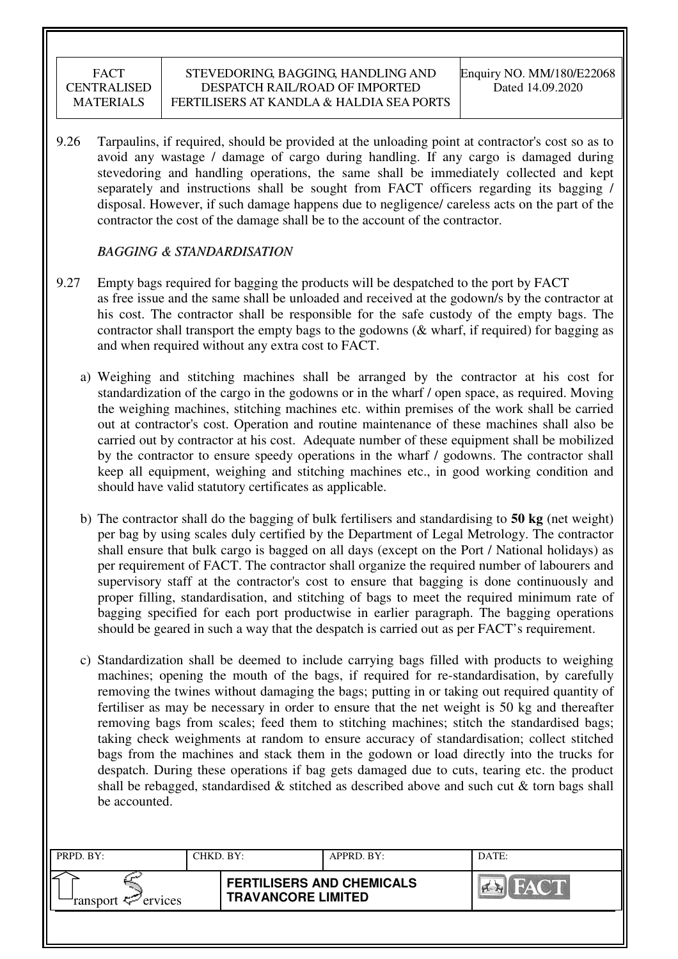9.26 Tarpaulins, if required, should be provided at the unloading point at contractor's cost so as to avoid any wastage / damage of cargo during handling. If any cargo is damaged during stevedoring and handling operations, the same shall be immediately collected and kept separately and instructions shall be sought from FACT officers regarding its bagging / disposal. However, if such damage happens due to negligence/ careless acts on the part of the contractor the cost of the damage shall be to the account of the contractor.

## *BAGGING & STANDARDISATION*

- 9.27 Empty bags required for bagging the products will be despatched to the port by FACT as free issue and the same shall be unloaded and received at the godown/s by the contractor at his cost. The contractor shall be responsible for the safe custody of the empty bags. The contractor shall transport the empty bags to the godowns (& wharf, if required) for bagging as and when required without any extra cost to FACT.
	- a) Weighing and stitching machines shall be arranged by the contractor at his cost for standardization of the cargo in the godowns or in the wharf / open space, as required. Moving the weighing machines, stitching machines etc. within premises of the work shall be carried out at contractor's cost. Operation and routine maintenance of these machines shall also be carried out by contractor at his cost. Adequate number of these equipment shall be mobilized by the contractor to ensure speedy operations in the wharf / godowns. The contractor shall keep all equipment, weighing and stitching machines etc., in good working condition and should have valid statutory certificates as applicable.
	- b) The contractor shall do the bagging of bulk fertilisers and standardising to **50 kg** (net weight) per bag by using scales duly certified by the Department of Legal Metrology. The contractor shall ensure that bulk cargo is bagged on all days (except on the Port / National holidays) as per requirement of FACT. The contractor shall organize the required number of labourers and supervisory staff at the contractor's cost to ensure that bagging is done continuously and proper filling, standardisation, and stitching of bags to meet the required minimum rate of bagging specified for each port productwise in earlier paragraph. The bagging operations should be geared in such a way that the despatch is carried out as per FACT's requirement.
	- c) Standardization shall be deemed to include carrying bags filled with products to weighing machines; opening the mouth of the bags, if required for re-standardisation, by carefully removing the twines without damaging the bags; putting in or taking out required quantity of fertiliser as may be necessary in order to ensure that the net weight is 50 kg and thereafter removing bags from scales; feed them to stitching machines; stitch the standardised bags; taking check weighments at random to ensure accuracy of standardisation; collect stitched bags from the machines and stack them in the godown or load directly into the trucks for despatch. During these operations if bag gets damaged due to cuts, tearing etc. the product shall be rebagged, standardised  $\&$  stitched as described above and such cut  $\&$  torn bags shall be accounted.

| PRPD. BY:                     | CHKD. BY: |                                                               | APPRD. BY: | DATE:                       |
|-------------------------------|-----------|---------------------------------------------------------------|------------|-----------------------------|
| ransport <sup>2</sup> ervices |           | <b>FERTILISERS AND CHEMICALS</b><br><b>TRAVANCORE LIMITED</b> |            | <b>THE TANK OF BUILDING</b> |
|                               |           |                                                               |            |                             |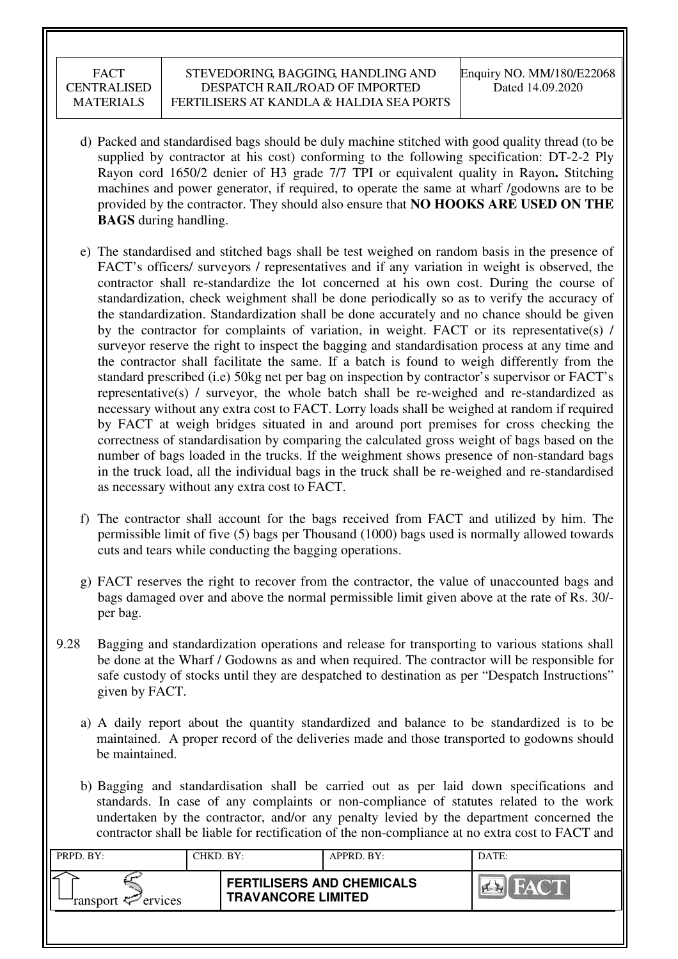- d) Packed and standardised bags should be duly machine stitched with good quality thread (to be supplied by contractor at his cost) conforming to the following specification: DT-2-2 Ply Rayon cord 1650/2 denier of H3 grade 7/7 TPI or equivalent quality in Rayon**.** Stitching machines and power generator, if required, to operate the same at wharf /godowns are to be provided by the contractor. They should also ensure that **NO HOOKS ARE USED ON THE BAGS** during handling.
- e) The standardised and stitched bags shall be test weighed on random basis in the presence of FACT's officers/ surveyors / representatives and if any variation in weight is observed, the contractor shall re-standardize the lot concerned at his own cost. During the course of standardization, check weighment shall be done periodically so as to verify the accuracy of the standardization. Standardization shall be done accurately and no chance should be given by the contractor for complaints of variation, in weight. FACT or its representative(s) / surveyor reserve the right to inspect the bagging and standardisation process at any time and the contractor shall facilitate the same. If a batch is found to weigh differently from the standard prescribed (i.e) 50kg net per bag on inspection by contractor's supervisor or FACT's representative(s) / surveyor, the whole batch shall be re-weighed and re-standardized as necessary without any extra cost to FACT. Lorry loads shall be weighed at random if required by FACT at weigh bridges situated in and around port premises for cross checking the correctness of standardisation by comparing the calculated gross weight of bags based on the number of bags loaded in the trucks. If the weighment shows presence of non-standard bags in the truck load, all the individual bags in the truck shall be re-weighed and re-standardised as necessary without any extra cost to FACT.
- f) The contractor shall account for the bags received from FACT and utilized by him. The permissible limit of five (5) bags per Thousand (1000) bags used is normally allowed towards cuts and tears while conducting the bagging operations.
- g) FACT reserves the right to recover from the contractor, the value of unaccounted bags and bags damaged over and above the normal permissible limit given above at the rate of Rs. 30/ per bag.
- 9.28 Bagging and standardization operations and release for transporting to various stations shall be done at the Wharf / Godowns as and when required. The contractor will be responsible for safe custody of stocks until they are despatched to destination as per "Despatch Instructions" given by FACT.
	- a) A daily report about the quantity standardized and balance to be standardized is to be maintained. A proper record of the deliveries made and those transported to godowns should be maintained.
	- b) Bagging and standardisation shall be carried out as per laid down specifications and standards. In case of any complaints or non-compliance of statutes related to the work undertaken by the contractor, and/or any penalty levied by the department concerned the contractor shall be liable for rectification of the non-compliance at no extra cost to FACT and

| PRPD. BY:                                | CHKD. BY: |                                                               | APPRD. BY: | DATE:      |
|------------------------------------------|-----------|---------------------------------------------------------------|------------|------------|
| ransport $\epsilon$ <sup>-</sup> ervices |           | <b>FERTILISERS AND CHEMICALS</b><br><b>TRAVANCORE LIMITED</b> |            | <b>HAY</b> |
|                                          |           |                                                               |            |            |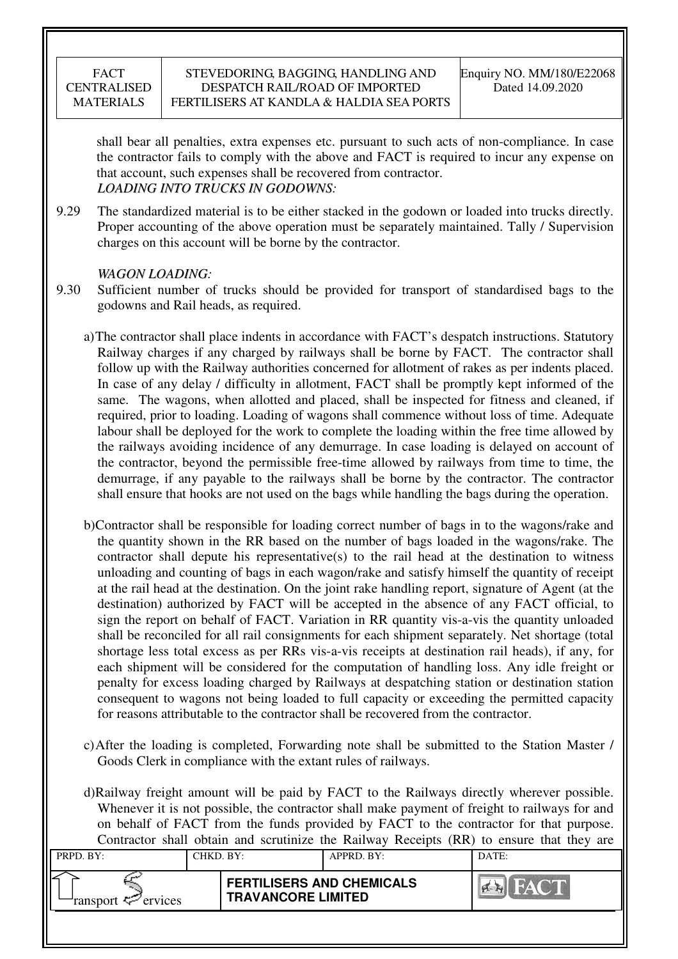shall bear all penalties, extra expenses etc. pursuant to such acts of non-compliance. In case the contractor fails to comply with the above and FACT is required to incur any expense on that account, such expenses shall be recovered from contractor. *LOADING INTO TRUCKS IN GODOWNS:* 

9.29 The standardized material is to be either stacked in the godown or loaded into trucks directly. Proper accounting of the above operation must be separately maintained. Tally / Supervision charges on this account will be borne by the contractor.

## *WAGON LOADING:*

- 9.30 Sufficient number of trucks should be provided for transport of standardised bags to the godowns and Rail heads, as required.
	- a)The contractor shall place indents in accordance with FACT's despatch instructions. Statutory Railway charges if any charged by railways shall be borne by FACT. The contractor shall follow up with the Railway authorities concerned for allotment of rakes as per indents placed. In case of any delay / difficulty in allotment, FACT shall be promptly kept informed of the same. The wagons, when allotted and placed, shall be inspected for fitness and cleaned, if required, prior to loading. Loading of wagons shall commence without loss of time. Adequate labour shall be deployed for the work to complete the loading within the free time allowed by the railways avoiding incidence of any demurrage. In case loading is delayed on account of the contractor, beyond the permissible free-time allowed by railways from time to time, the demurrage, if any payable to the railways shall be borne by the contractor. The contractor shall ensure that hooks are not used on the bags while handling the bags during the operation.
	- b)Contractor shall be responsible for loading correct number of bags in to the wagons/rake and the quantity shown in the RR based on the number of bags loaded in the wagons/rake. The contractor shall depute his representative(s) to the rail head at the destination to witness unloading and counting of bags in each wagon/rake and satisfy himself the quantity of receipt at the rail head at the destination. On the joint rake handling report, signature of Agent (at the destination) authorized by FACT will be accepted in the absence of any FACT official, to sign the report on behalf of FACT. Variation in RR quantity vis-a-vis the quantity unloaded shall be reconciled for all rail consignments for each shipment separately. Net shortage (total shortage less total excess as per RRs vis-a-vis receipts at destination rail heads), if any, for each shipment will be considered for the computation of handling loss. Any idle freight or penalty for excess loading charged by Railways at despatching station or destination station consequent to wagons not being loaded to full capacity or exceeding the permitted capacity for reasons attributable to the contractor shall be recovered from the contractor.
	- c)After the loading is completed, Forwarding note shall be submitted to the Station Master / Goods Clerk in compliance with the extant rules of railways.

d)Railway freight amount will be paid by FACT to the Railways directly wherever possible. Whenever it is not possible, the contractor shall make payment of freight to railways for and on behalf of FACT from the funds provided by FACT to the contractor for that purpose. Contractor shall obtain and scrutinize the Railway Receipts (RR) to ensure that they are

| Common share count and serantize the Kallway Receipts $\{Kx\}$ to ensure that they are         |           |  |             |       |  |  |  |
|------------------------------------------------------------------------------------------------|-----------|--|-------------|-------|--|--|--|
| PRPD. BY:                                                                                      | CHKD. BY: |  | APPRD. BY:  | DATE: |  |  |  |
|                                                                                                |           |  |             |       |  |  |  |
| <b>FERTILISERS AND CHEMICALS</b><br><b>TRAVANCORE LIMITED</b><br>ransport <sup>2</sup> ervices |           |  | <b>FACT</b> |       |  |  |  |
|                                                                                                |           |  |             |       |  |  |  |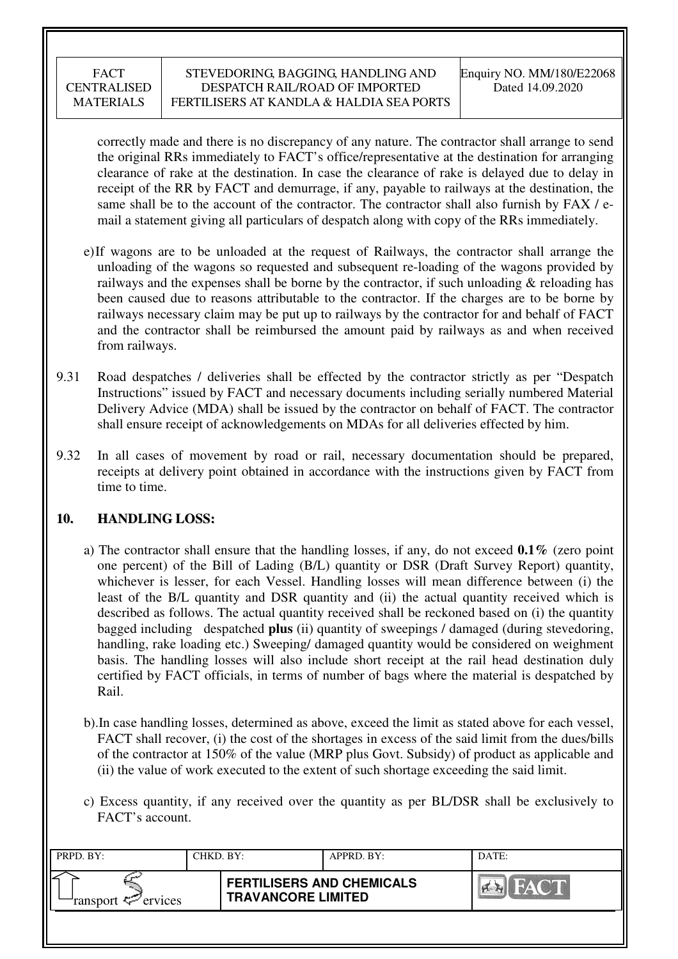correctly made and there is no discrepancy of any nature. The contractor shall arrange to send the original RRs immediately to FACT's office/representative at the destination for arranging clearance of rake at the destination. In case the clearance of rake is delayed due to delay in receipt of the RR by FACT and demurrage, if any, payable to railways at the destination, the same shall be to the account of the contractor. The contractor shall also furnish by FAX / email a statement giving all particulars of despatch along with copy of the RRs immediately.

- e)If wagons are to be unloaded at the request of Railways, the contractor shall arrange the unloading of the wagons so requested and subsequent re-loading of the wagons provided by railways and the expenses shall be borne by the contractor, if such unloading  $\&$  reloading has been caused due to reasons attributable to the contractor. If the charges are to be borne by railways necessary claim may be put up to railways by the contractor for and behalf of FACT and the contractor shall be reimbursed the amount paid by railways as and when received from railways.
- 9.31 Road despatches / deliveries shall be effected by the contractor strictly as per "Despatch Instructions" issued by FACT and necessary documents including serially numbered Material Delivery Advice (MDA) shall be issued by the contractor on behalf of FACT. The contractor shall ensure receipt of acknowledgements on MDAs for all deliveries effected by him.
- 9.32 In all cases of movement by road or rail, necessary documentation should be prepared, receipts at delivery point obtained in accordance with the instructions given by FACT from time to time.

## **10. HANDLING LOSS:**

- a) The contractor shall ensure that the handling losses, if any, do not exceed **0.1%** (zero point one percent) of the Bill of Lading (B/L) quantity or DSR (Draft Survey Report) quantity, whichever is lesser, for each Vessel. Handling losses will mean difference between (i) the least of the B/L quantity and DSR quantity and (ii) the actual quantity received which is described as follows. The actual quantity received shall be reckoned based on (i) the quantity bagged including despatched **plus** (ii) quantity of sweepings / damaged (during stevedoring, handling, rake loading etc.) Sweeping/ damaged quantity would be considered on weighment basis. The handling losses will also include short receipt at the rail head destination duly certified by FACT officials, in terms of number of bags where the material is despatched by Rail.
- b).In case handling losses, determined as above, exceed the limit as stated above for each vessel, FACT shall recover, (i) the cost of the shortages in excess of the said limit from the dues/bills of the contractor at 150% of the value (MRP plus Govt. Subsidy) of product as applicable and (ii) the value of work executed to the extent of such shortage exceeding the said limit.
- c) Excess quantity, if any received over the quantity as per BL/DSR shall be exclusively to FACT's account.

| PRPD. BY:                 | CHKD. BY: |                                                               | APPRD. BY: | DATE: |
|---------------------------|-----------|---------------------------------------------------------------|------------|-------|
| ransport $\sharp$ ervices |           | <b>FERTILISERS AND CHEMICALS</b><br><b>TRAVANCORE LIMITED</b> |            | FACT  |
|                           |           |                                                               |            |       |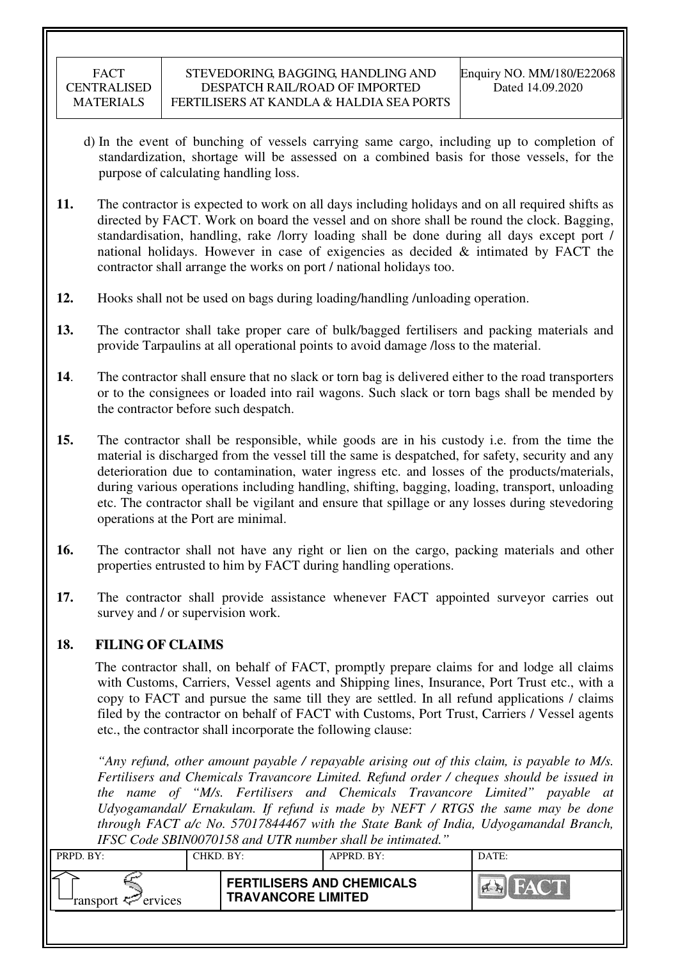- d) In the event of bunching of vessels carrying same cargo, including up to completion of standardization, shortage will be assessed on a combined basis for those vessels, for the purpose of calculating handling loss.
- **11.** The contractor is expected to work on all days including holidays and on all required shifts as directed by FACT. Work on board the vessel and on shore shall be round the clock. Bagging, standardisation, handling, rake /lorry loading shall be done during all days except port / national holidays. However in case of exigencies as decided & intimated by FACT the contractor shall arrange the works on port / national holidays too.
- **12.** Hooks shall not be used on bags during loading/handling /unloading operation.
- **13.** The contractor shall take proper care of bulk/bagged fertilisers and packing materials and provide Tarpaulins at all operational points to avoid damage /loss to the material.
- **14**. The contractor shall ensure that no slack or torn bag is delivered either to the road transporters or to the consignees or loaded into rail wagons. Such slack or torn bags shall be mended by the contractor before such despatch.
- **15.** The contractor shall be responsible, while goods are in his custody i.e. from the time the material is discharged from the vessel till the same is despatched, for safety, security and any deterioration due to contamination, water ingress etc. and losses of the products/materials, during various operations including handling, shifting, bagging, loading, transport, unloading etc. The contractor shall be vigilant and ensure that spillage or any losses during stevedoring operations at the Port are minimal.
- **16.** The contractor shall not have any right or lien on the cargo, packing materials and other properties entrusted to him by FACT during handling operations.
- **17.** The contractor shall provide assistance whenever FACT appointed surveyor carries out survey and / or supervision work.

## **18. FILING OF CLAIMS**

The contractor shall, on behalf of FACT, promptly prepare claims for and lodge all claims with Customs, Carriers, Vessel agents and Shipping lines, Insurance, Port Trust etc., with a copy to FACT and pursue the same till they are settled. In all refund applications / claims filed by the contractor on behalf of FACT with Customs, Port Trust, Carriers / Vessel agents etc., the contractor shall incorporate the following clause:

*"Any refund, other amount payable / repayable arising out of this claim, is payable to M/s. Fertilisers and Chemicals Travancore Limited. Refund order / cheques should be issued in the name of "M/s. Fertilisers and Chemicals Travancore Limited" payable at Udyogamandal/ Ernakulam. If refund is made by NEFT / RTGS the same may be done through FACT a/c No. 57017844467 with the State Bank of India, Udyogamandal Branch, IFSC Code SBIN0070158 and UTR number shall be intimated."* 

| 11 DC COUC DDITYOU/UIJO UNU OTIVINNIIDOL SHUN DC MNIMUNICU. |                                                               |               |       |  |  |  |
|-------------------------------------------------------------|---------------------------------------------------------------|---------------|-------|--|--|--|
| PRPD. BY:                                                   | CHKD. BY:                                                     | $APPRD$ . BY: | DATE: |  |  |  |
| ransport $\mathcal{P}$ ervices                              | <b>FERTILISERS AND CHEMICALS</b><br><b>TRAVANCORE LIMITED</b> |               | FACT  |  |  |  |
|                                                             |                                                               |               |       |  |  |  |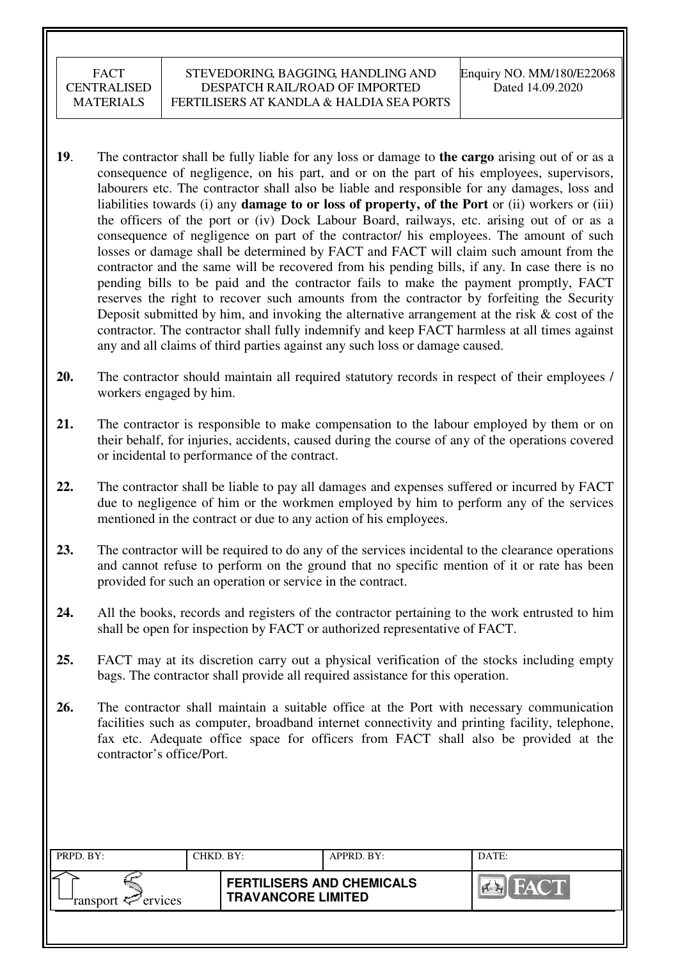- **19**. The contractor shall be fully liable for any loss or damage to **the cargo** arising out of or as a consequence of negligence, on his part, and or on the part of his employees, supervisors, labourers etc. The contractor shall also be liable and responsible for any damages, loss and liabilities towards (i) any **damage to or loss of property, of the Port** or (ii) workers or (iii) the officers of the port or (iv) Dock Labour Board, railways, etc. arising out of or as a consequence of negligence on part of the contractor/ his employees. The amount of such losses or damage shall be determined by FACT and FACT will claim such amount from the contractor and the same will be recovered from his pending bills, if any. In case there is no pending bills to be paid and the contractor fails to make the payment promptly, FACT reserves the right to recover such amounts from the contractor by forfeiting the Security Deposit submitted by him, and invoking the alternative arrangement at the risk  $\&$  cost of the contractor. The contractor shall fully indemnify and keep FACT harmless at all times against any and all claims of third parties against any such loss or damage caused.
- **20.** The contractor should maintain all required statutory records in respect of their employees / workers engaged by him.
- **21.** The contractor is responsible to make compensation to the labour employed by them or on their behalf, for injuries, accidents, caused during the course of any of the operations covered or incidental to performance of the contract.
- **22.** The contractor shall be liable to pay all damages and expenses suffered or incurred by FACT due to negligence of him or the workmen employed by him to perform any of the services mentioned in the contract or due to any action of his employees.
- **23.** The contractor will be required to do any of the services incidental to the clearance operations and cannot refuse to perform on the ground that no specific mention of it or rate has been provided for such an operation or service in the contract.
- **24.** All the books, records and registers of the contractor pertaining to the work entrusted to him shall be open for inspection by FACT or authorized representative of FACT.
- **25.** FACT may at its discretion carry out a physical verification of the stocks including empty bags. The contractor shall provide all required assistance for this operation.
- **26.** The contractor shall maintain a suitable office at the Port with necessary communication facilities such as computer, broadband internet connectivity and printing facility, telephone, fax etc. Adequate office space for officers from FACT shall also be provided at the contractor's office/Port.

| PRPD. BY:              | CHKD. BY: |                                                               | APPRD. BY: | DATE: |
|------------------------|-----------|---------------------------------------------------------------|------------|-------|
| ransport $\ll$ ervices |           | <b>FERTILISERS AND CHEMICALS</b><br><b>TRAVANCORE LIMITED</b> |            | FACT  |
|                        |           |                                                               |            |       |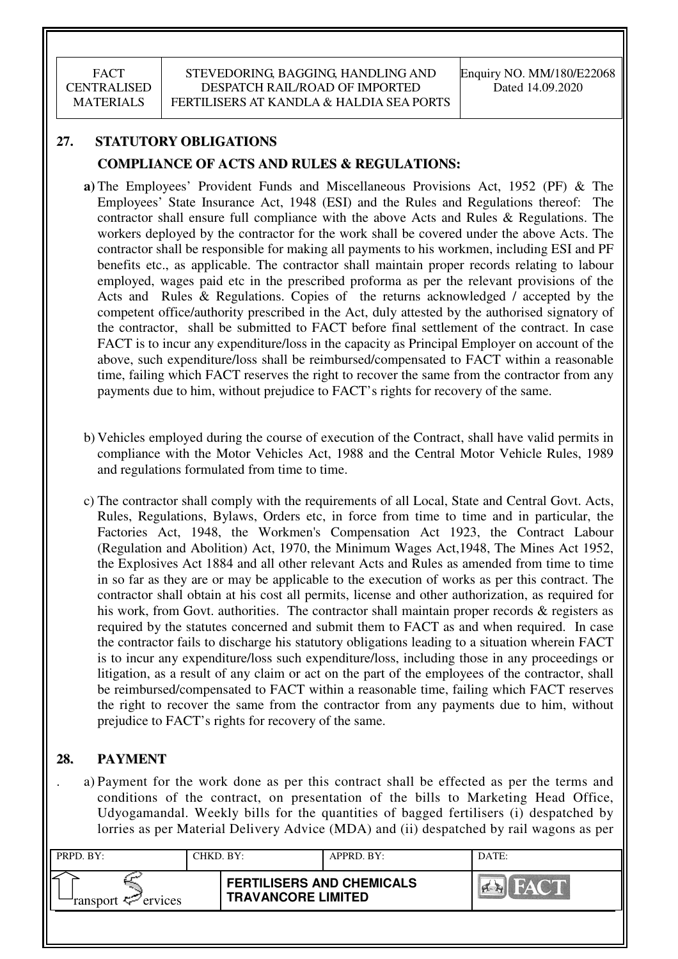# **27. STATUTORY OBLIGATIONS COMPLIANCE OF ACTS AND RULES & REGULATIONS:**

- **a)** The Employees' Provident Funds and Miscellaneous Provisions Act, 1952 (PF) & The Employees' State Insurance Act, 1948 (ESI) and the Rules and Regulations thereof: The contractor shall ensure full compliance with the above Acts and Rules & Regulations. The workers deployed by the contractor for the work shall be covered under the above Acts. The contractor shall be responsible for making all payments to his workmen, including ESI and PF benefits etc., as applicable. The contractor shall maintain proper records relating to labour employed, wages paid etc in the prescribed proforma as per the relevant provisions of the Acts and Rules & Regulations. Copies of the returns acknowledged / accepted by the competent office/authority prescribed in the Act, duly attested by the authorised signatory of the contractor, shall be submitted to FACT before final settlement of the contract. In case FACT is to incur any expenditure/loss in the capacity as Principal Employer on account of the above, such expenditure/loss shall be reimbursed/compensated to FACT within a reasonable time, failing which FACT reserves the right to recover the same from the contractor from any payments due to him, without prejudice to FACT's rights for recovery of the same.
- b) Vehicles employed during the course of execution of the Contract, shall have valid permits in compliance with the Motor Vehicles Act, 1988 and the Central Motor Vehicle Rules, 1989 and regulations formulated from time to time.
- c) The contractor shall comply with the requirements of all Local, State and Central Govt. Acts, Rules, Regulations, Bylaws, Orders etc, in force from time to time and in particular, the Factories Act, 1948, the Workmen's Compensation Act 1923, the Contract Labour (Regulation and Abolition) Act, 1970, the Minimum Wages Act,1948, The Mines Act 1952, the Explosives Act 1884 and all other relevant Acts and Rules as amended from time to time in so far as they are or may be applicable to the execution of works as per this contract. The contractor shall obtain at his cost all permits, license and other authorization, as required for his work, from Govt. authorities. The contractor shall maintain proper records & registers as required by the statutes concerned and submit them to FACT as and when required. In case the contractor fails to discharge his statutory obligations leading to a situation wherein FACT is to incur any expenditure/loss such expenditure/loss, including those in any proceedings or litigation, as a result of any claim or act on the part of the employees of the contractor, shall be reimbursed/compensated to FACT within a reasonable time, failing which FACT reserves the right to recover the same from the contractor from any payments due to him, without prejudice to FACT's rights for recovery of the same.

# **28. PAYMENT**

. a) Payment for the work done as per this contract shall be effected as per the terms and conditions of the contract, on presentation of the bills to Marketing Head Office, Udyogamandal. Weekly bills for the quantities of bagged fertilisers (i) despatched by lorries as per Material Delivery Advice (MDA) and (ii) despatched by rail wagons as per

| PRPD. BY:              | CHKD. BY: |                                                               | APPRD. BY: | DATE: |
|------------------------|-----------|---------------------------------------------------------------|------------|-------|
| ransport $\ll$ ervices |           | <b>FERTILISERS AND CHEMICALS</b><br><b>TRAVANCORE LIMITED</b> |            | HACTE |
|                        |           |                                                               |            |       |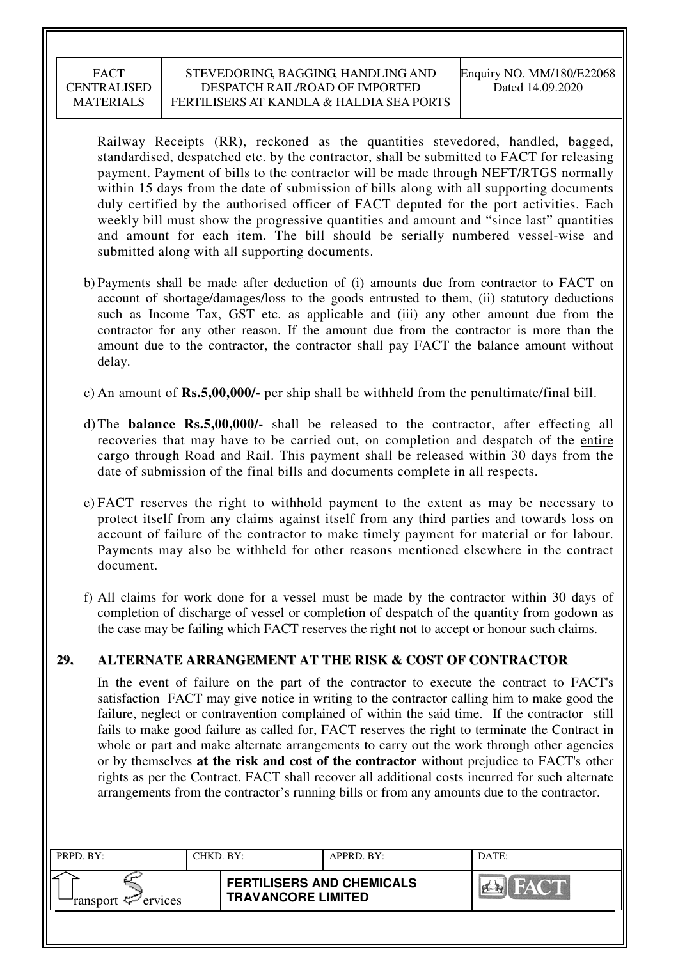Railway Receipts (RR), reckoned as the quantities stevedored, handled, bagged, standardised, despatched etc. by the contractor, shall be submitted to FACT for releasing payment. Payment of bills to the contractor will be made through NEFT/RTGS normally within 15 days from the date of submission of bills along with all supporting documents duly certified by the authorised officer of FACT deputed for the port activities. Each weekly bill must show the progressive quantities and amount and "since last" quantities and amount for each item. The bill should be serially numbered vessel-wise and submitted along with all supporting documents.

- b) Payments shall be made after deduction of (i) amounts due from contractor to FACT on account of shortage/damages/loss to the goods entrusted to them, (ii) statutory deductions such as Income Tax, GST etc. as applicable and (iii) any other amount due from the contractor for any other reason. If the amount due from the contractor is more than the amount due to the contractor, the contractor shall pay FACT the balance amount without delay.
- c) An amount of **Rs.5,00,000/-** per ship shall be withheld from the penultimate/final bill.
- d) The **balance Rs.5,00,000/-** shall be released to the contractor, after effecting all recoveries that may have to be carried out, on completion and despatch of the entire cargo through Road and Rail. This payment shall be released within 30 days from the date of submission of the final bills and documents complete in all respects.
- e) FACT reserves the right to withhold payment to the extent as may be necessary to protect itself from any claims against itself from any third parties and towards loss on account of failure of the contractor to make timely payment for material or for labour. Payments may also be withheld for other reasons mentioned elsewhere in the contract document.
- f) All claims for work done for a vessel must be made by the contractor within 30 days of completion of discharge of vessel or completion of despatch of the quantity from godown as the case may be failing which FACT reserves the right not to accept or honour such claims.

## **29. ALTERNATE ARRANGEMENT AT THE RISK & COST OF CONTRACTOR**

In the event of failure on the part of the contractor to execute the contract to FACT's satisfaction FACT may give notice in writing to the contractor calling him to make good the failure, neglect or contravention complained of within the said time. If the contractor still fails to make good failure as called for, FACT reserves the right to terminate the Contract in whole or part and make alternate arrangements to carry out the work through other agencies or by themselves **at the risk and cost of the contractor** without prejudice to FACT's other rights as per the Contract. FACT shall recover all additional costs incurred for such alternate arrangements from the contractor's running bills or from any amounts due to the contractor.

| PRPD. BY:              | CHKD. BY: |                                                               | APPRD. BY: | DATE:          |
|------------------------|-----------|---------------------------------------------------------------|------------|----------------|
| ransport $\ll$ ervices |           | <b>FERTILISERS AND CHEMICALS</b><br><b>TRAVANCORE LIMITED</b> |            | $\sum_{i=1}^n$ |
|                        |           |                                                               |            |                |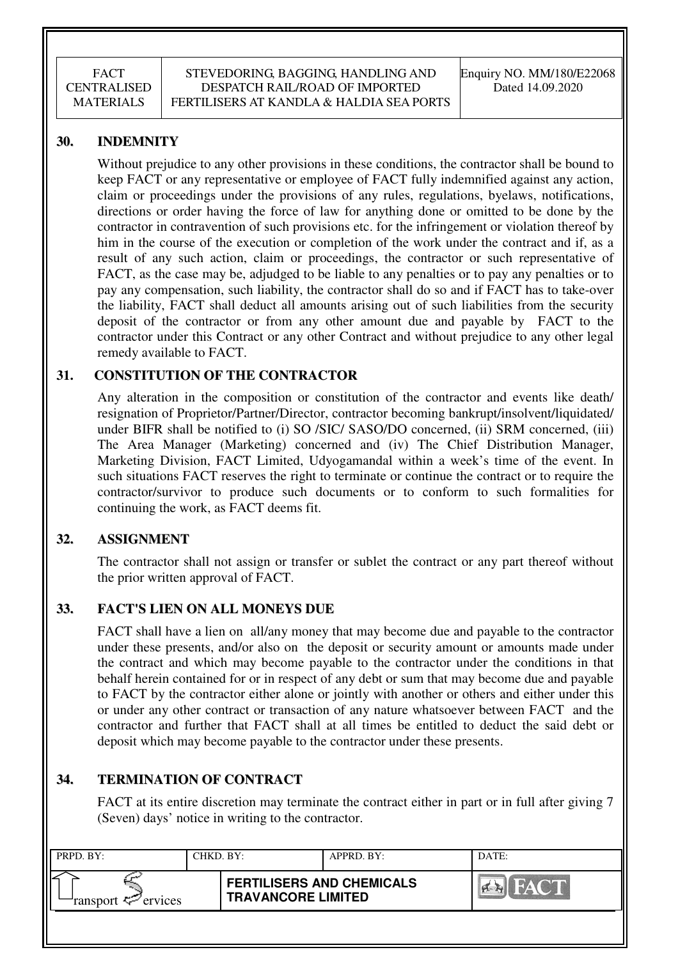## **30. INDEMNITY**

Without prejudice to any other provisions in these conditions, the contractor shall be bound to keep FACT or any representative or employee of FACT fully indemnified against any action, claim or proceedings under the provisions of any rules, regulations, byelaws, notifications, directions or order having the force of law for anything done or omitted to be done by the contractor in contravention of such provisions etc. for the infringement or violation thereof by him in the course of the execution or completion of the work under the contract and if, as a result of any such action, claim or proceedings, the contractor or such representative of FACT, as the case may be, adjudged to be liable to any penalties or to pay any penalties or to pay any compensation, such liability, the contractor shall do so and if FACT has to take-over the liability, FACT shall deduct all amounts arising out of such liabilities from the security deposit of the contractor or from any other amount due and payable by FACT to the contractor under this Contract or any other Contract and without prejudice to any other legal remedy available to FACT.

## **31. CONSTITUTION OF THE CONTRACTOR**

Any alteration in the composition or constitution of the contractor and events like death/ resignation of Proprietor/Partner/Director, contractor becoming bankrupt/insolvent/liquidated/ under BIFR shall be notified to (i) SO /SIC/ SASO/DO concerned, (ii) SRM concerned, (iii) The Area Manager (Marketing) concerned and (iv) The Chief Distribution Manager, Marketing Division, FACT Limited, Udyogamandal within a week's time of the event. In such situations FACT reserves the right to terminate or continue the contract or to require the contractor/survivor to produce such documents or to conform to such formalities for continuing the work, as FACT deems fit.

## **32. ASSIGNMENT**

The contractor shall not assign or transfer or sublet the contract or any part thereof without the prior written approval of FACT.

## **33. FACT'S LIEN ON ALL MONEYS DUE**

FACT shall have a lien on all/any money that may become due and payable to the contractor under these presents, and/or also on the deposit or security amount or amounts made under the contract and which may become payable to the contractor under the conditions in that behalf herein contained for or in respect of any debt or sum that may become due and payable to FACT by the contractor either alone or jointly with another or others and either under this or under any other contract or transaction of any nature whatsoever between FACT and the contractor and further that FACT shall at all times be entitled to deduct the said debt or deposit which may become payable to the contractor under these presents.

# **34. TERMINATION OF CONTRACT**

FACT at its entire discretion may terminate the contract either in part or in full after giving 7 (Seven) days' notice in writing to the contractor.

| PRPD. BY:              | CHKD. BY: |                                                               | APPRD. BY: | DATE:                     |
|------------------------|-----------|---------------------------------------------------------------|------------|---------------------------|
| ransport $\ll$ ervices |           | <b>FERTILISERS AND CHEMICALS</b><br><b>TRAVANCORE LIMITED</b> |            | <b>FACT</b><br><b>PER</b> |
|                        |           |                                                               |            |                           |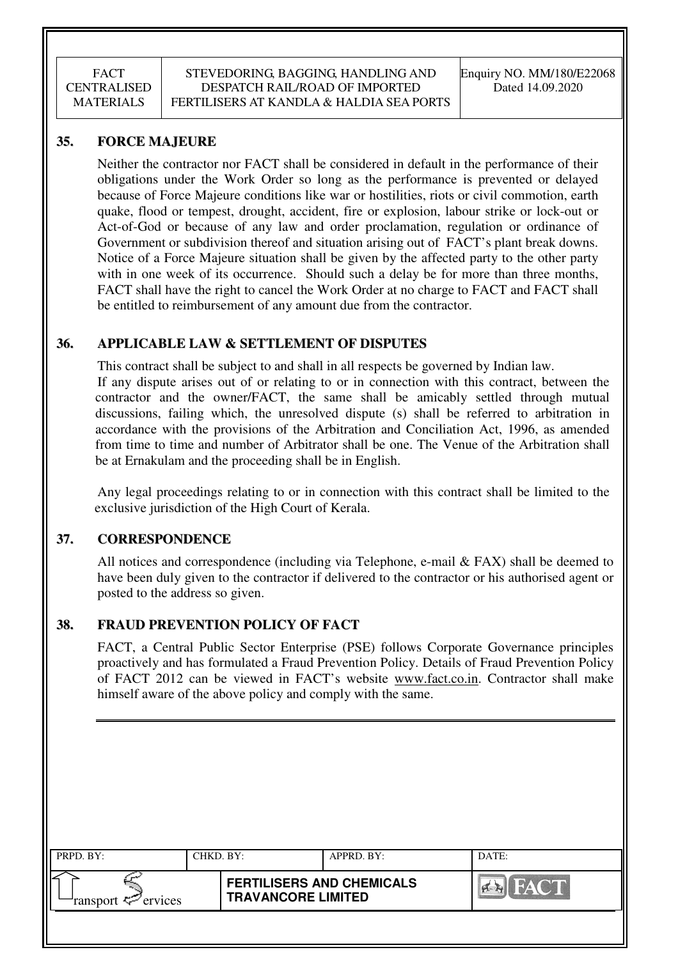## **35. FORCE MAJEURE**

Neither the contractor nor FACT shall be considered in default in the performance of their obligations under the Work Order so long as the performance is prevented or delayed because of Force Majeure conditions like war or hostilities, riots or civil commotion, earth quake, flood or tempest, drought, accident, fire or explosion, labour strike or lock-out or Act-of-God or because of any law and order proclamation, regulation or ordinance of Government or subdivision thereof and situation arising out of FACT's plant break downs. Notice of a Force Majeure situation shall be given by the affected party to the other party with in one week of its occurrence. Should such a delay be for more than three months, FACT shall have the right to cancel the Work Order at no charge to FACT and FACT shall be entitled to reimbursement of any amount due from the contractor.

## **36. APPLICABLE LAW & SETTLEMENT OF DISPUTES**

This contract shall be subject to and shall in all respects be governed by Indian law. If any dispute arises out of or relating to or in connection with this contract, between the contractor and the owner/FACT, the same shall be amicably settled through mutual discussions, failing which, the unresolved dispute (s) shall be referred to arbitration in accordance with the provisions of the Arbitration and Conciliation Act, 1996, as amended from time to time and number of Arbitrator shall be one. The Venue of the Arbitration shall be at Ernakulam and the proceeding shall be in English.

 Any legal proceedings relating to or in connection with this contract shall be limited to the exclusive jurisdiction of the High Court of Kerala.

## **37. CORRESPONDENCE**

All notices and correspondence (including via Telephone, e-mail  $& FAST$ ) shall be deemed to have been duly given to the contractor if delivered to the contractor or his authorised agent or posted to the address so given.

## **38. FRAUD PREVENTION POLICY OF FACT**

FACT, a Central Public Sector Enterprise (PSE) follows Corporate Governance principles proactively and has formulated a Fraud Prevention Policy. Details of Fraud Prevention Policy of FACT 2012 can be viewed in FACT's website www.fact.co.in. Contractor shall make himself aware of the above policy and comply with the same.

| PRPD. BY:                                | CHKD. BY: |                                                               | APPRD. BY: | DATE:          |
|------------------------------------------|-----------|---------------------------------------------------------------|------------|----------------|
| ransport $\epsilon$ <sup>-</sup> ervices |           | <b>FERTILISERS AND CHEMICALS</b><br><b>TRAVANCORE LIMITED</b> |            | <b>Ex</b> FACT |
|                                          |           |                                                               |            |                |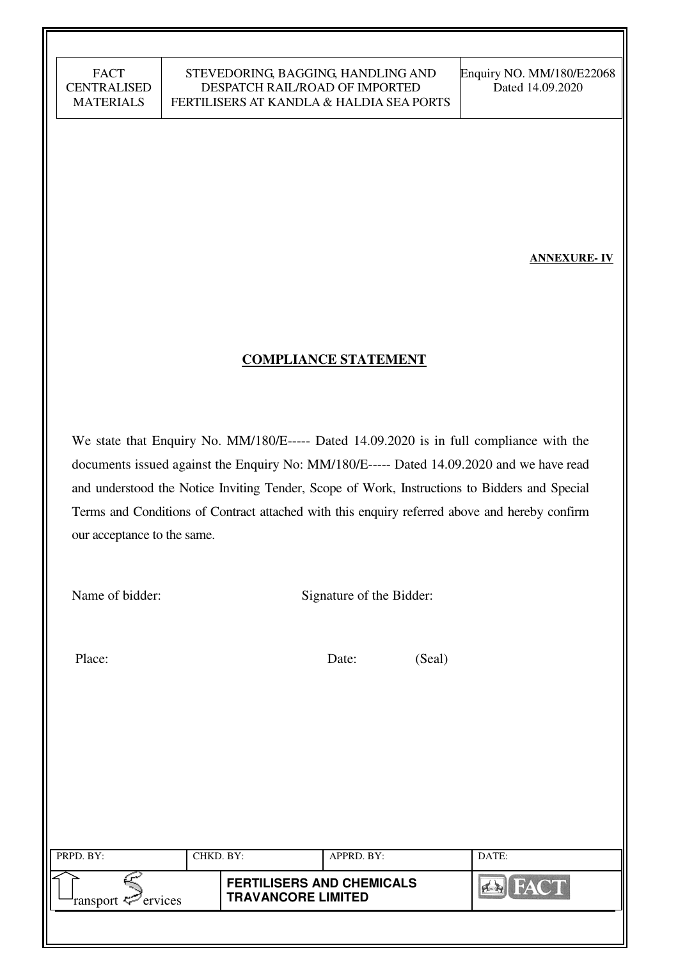**ANNEXURE- IV** 

## **COMPLIANCE STATEMENT**

We state that Enquiry No. MM/180/E----- Dated 14.09.2020 is in full compliance with the documents issued against the Enquiry No: MM/180/E----- Dated 14.09.2020 and we have read and understood the Notice Inviting Tender, Scope of Work, Instructions to Bidders and Special Terms and Conditions of Contract attached with this enquiry referred above and hereby confirm our acceptance to the same.

Name of bidder: Signature of the Bidder:

Place: Date: (Seal)

| PRPD. BY:                                | CHKD. BY: |                                                               | APPRD. BY: | DATE:                |
|------------------------------------------|-----------|---------------------------------------------------------------|------------|----------------------|
| ransport $\epsilon$ <sup>-</sup> ervices |           | <b>FERTILISERS AND CHEMICALS</b><br><b>TRAVANCORE LIMITED</b> |            | FACT<br>$\mathbb{R}$ |
|                                          |           |                                                               |            |                      |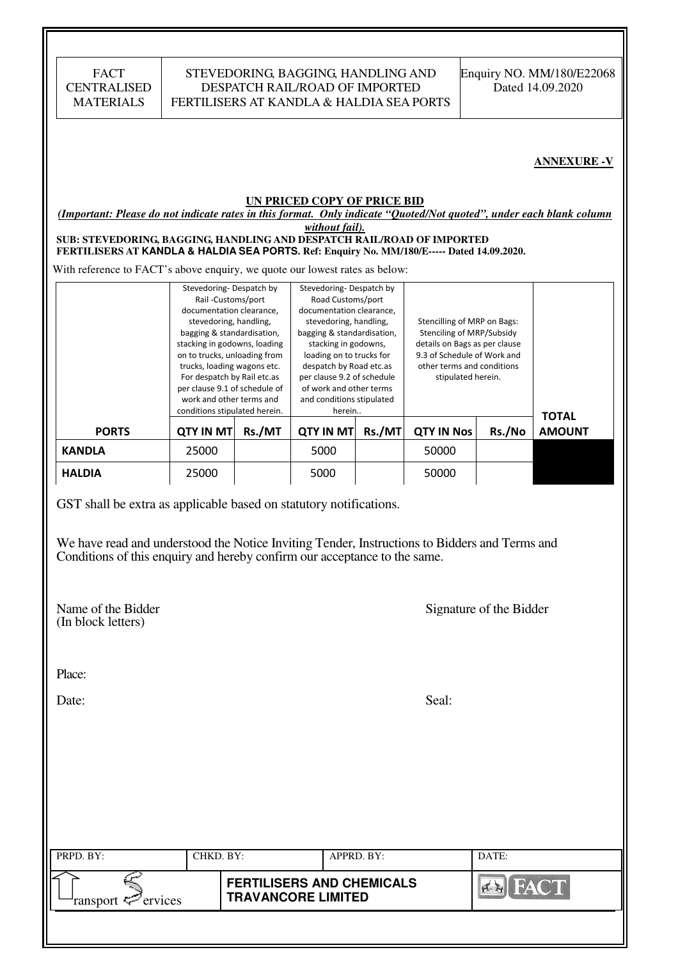| <b>FACT</b>        |  |
|--------------------|--|
| <b>CENTRALISED</b> |  |
| <b>MATERIALS</b>   |  |

#### STEVEDORING, BAGGING, HANDLING AND DESPATCH RAIL/ROAD OF IMPORTED FERTILISERS AT KANDLA & HALDIA SEA PORTS

#### **ANNEXURE -V**

#### **UN PRICED COPY OF PRICE BID**

*(Important: Please do not indicate rates in this format. Only indicate "Quoted/Not quoted", under each blank column* 

*without fail).*  **SUB: STEVEDORING, BAGGING, HANDLING AND DESPATCH RAIL/ROAD OF IMPORTED FERTILISERS AT KANDLA & HALDIA SEA PORTS. Ref: Enquiry No. MM/180/E----- Dated 14.09.2020.** 

With reference to FACT's above enquiry, we quote our lowest rates as below:

|               | Stevedoring-Despatch by<br>Rail-Customs/port<br>documentation clearance,<br>stevedoring, handling,<br>bagging & standardisation,<br>stacking in godowns, loading<br>on to trucks, unloading from<br>trucks, loading wagons etc.<br>For despatch by Rail etc.as<br>per clause 9.1 of schedule of<br>work and other terms and<br>conditions stipulated herein. |        | Stevedoring-Despatch by<br>Road Customs/port<br>documentation clearance.<br>stevedoring, handling,<br>bagging & standardisation,<br>stacking in godowns,<br>loading on to trucks for<br>despatch by Road etc.as<br>per clause 9.2 of schedule<br>of work and other terms<br>and conditions stipulated<br>herein |        | Stencilling of MRP on Bags:<br>Stenciling of MRP/Subsidy<br>details on Bags as per clause<br>9.3 of Schedule of Work and<br>other terms and conditions<br>stipulated herein. |        | <b>TOTAL</b>  |
|---------------|--------------------------------------------------------------------------------------------------------------------------------------------------------------------------------------------------------------------------------------------------------------------------------------------------------------------------------------------------------------|--------|-----------------------------------------------------------------------------------------------------------------------------------------------------------------------------------------------------------------------------------------------------------------------------------------------------------------|--------|------------------------------------------------------------------------------------------------------------------------------------------------------------------------------|--------|---------------|
| <b>PORTS</b>  | <b>QTY IN MT</b>                                                                                                                                                                                                                                                                                                                                             | Rs./MT | <b>QTY IN MT</b>                                                                                                                                                                                                                                                                                                | Rs./MT | <b>QTY IN Nos</b>                                                                                                                                                            | Rs./No | <b>AMOUNT</b> |
| <b>KANDLA</b> | 25000                                                                                                                                                                                                                                                                                                                                                        |        | 5000                                                                                                                                                                                                                                                                                                            |        | 50000                                                                                                                                                                        |        |               |
| <b>HALDIA</b> | 25000                                                                                                                                                                                                                                                                                                                                                        |        | 5000                                                                                                                                                                                                                                                                                                            |        | 50000                                                                                                                                                                        |        |               |

GST shall be extra as applicable based on statutory notifications.

We have read and understood the Notice Inviting Tender, Instructions to Bidders and Terms and Conditions of this enquiry and hereby confirm our acceptance to the same.

(In block letters)

Name of the Bidder Signature of the Bidder

Place:

Date: Seal:

| PRPD. BY:              | CHKD. BY: |                                                               | APPRD. BY: | DATE:       |
|------------------------|-----------|---------------------------------------------------------------|------------|-------------|
| ransport $\ll$ ervices |           | <b>FERTILISERS AND CHEMICALS</b><br><b>TRAVANCORE LIMITED</b> |            | <b>FACT</b> |
|                        |           |                                                               |            |             |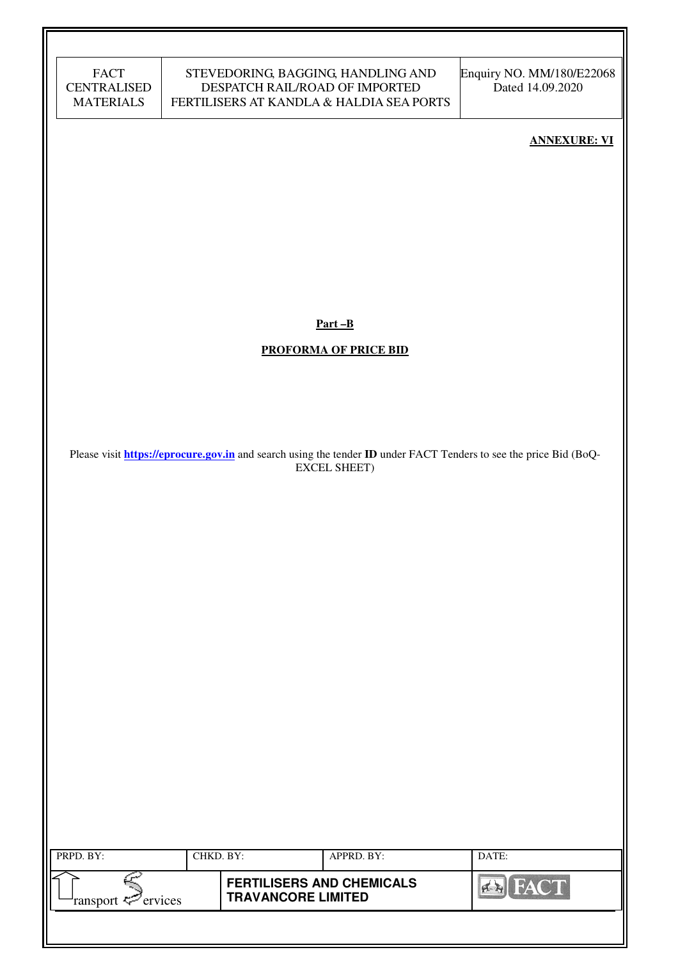| <b>FACT</b>        |
|--------------------|
| <b>CENTRALISED</b> |
| <b>MATERIALS</b>   |

#### STEVEDORING, BAGGING, HANDLING AND DESPATCH RAIL/ROAD OF IMPORTED FERTILISERS AT KANDLA & HALDIA SEA PORTS

Enquiry NO. MM/180/E22068 Dated 14.09.2020

#### **ANNEXURE: VI**

**Part –B** 

#### **PROFORMA OF PRICE BID**

Please visit **https://eprocure.gov.in** and search using the tender **ID** under FACT Tenders to see the price Bid (BoQ-EXCEL SHEET)

| PRPD. BY:                      | CHKD. BY: |                                                               | APPRD. BY: | DATE: |
|--------------------------------|-----------|---------------------------------------------------------------|------------|-------|
| ransport $\mathcal{P}$ ervices |           | <b>FERTILISERS AND CHEMICALS</b><br><b>TRAVANCORE LIMITED</b> |            | FACT  |
|                                |           |                                                               |            |       |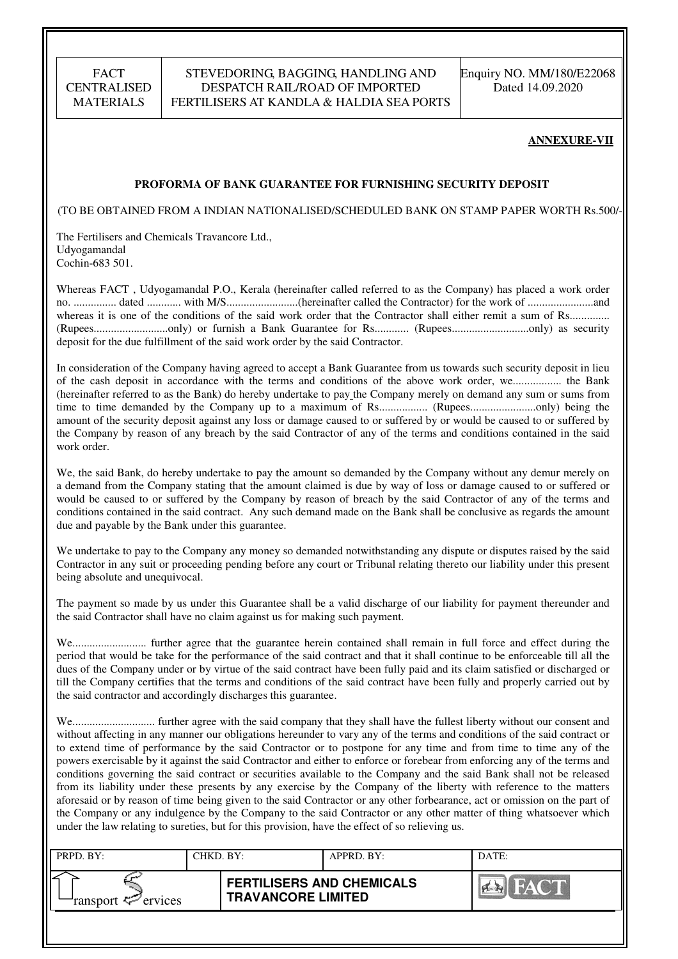## STEVEDORING, BAGGING, HANDLING AND DESPATCH RAIL/ROAD OF IMPORTED FERTILISERS AT KANDLA & HALDIA SEA PORTS

Enquiry NO. MM/180/E22068 Dated 14.09.2020

#### **ANNEXURE-VII**

#### **PROFORMA OF BANK GUARANTEE FOR FURNISHING SECURITY DEPOSIT**

(TO BE OBTAINED FROM A INDIAN NATIONALISED/SCHEDULED BANK ON STAMP PAPER WORTH Rs.500/-)

The Fertilisers and Chemicals Travancore Ltd., Udyogamandal Cochin-683 501.

Whereas FACT , Udyogamandal P.O., Kerala (hereinafter called referred to as the Company) has placed a work order no. ............... dated ............ with M/S.........................(hereinafter called the Contractor) for the work of .......................and whereas it is one of the conditions of the said work order that the Contractor shall either remit a sum of Rs............... (Rupees..........................only) or furnish a Bank Guarantee for Rs............ (Rupees...........................only) as security deposit for the due fulfillment of the said work order by the said Contractor.

In consideration of the Company having agreed to accept a Bank Guarantee from us towards such security deposit in lieu of the cash deposit in accordance with the terms and conditions of the above work order, we................. the Bank (hereinafter referred to as the Bank) do hereby undertake to pay the Company merely on demand any sum or sums from time to time demanded by the Company up to a maximum of Rs................. (Rupees.......................only) being the amount of the security deposit against any loss or damage caused to or suffered by or would be caused to or suffered by the Company by reason of any breach by the said Contractor of any of the terms and conditions contained in the said work order.

We, the said Bank, do hereby undertake to pay the amount so demanded by the Company without any demur merely on a demand from the Company stating that the amount claimed is due by way of loss or damage caused to or suffered or would be caused to or suffered by the Company by reason of breach by the said Contractor of any of the terms and conditions contained in the said contract. Any such demand made on the Bank shall be conclusive as regards the amount due and payable by the Bank under this guarantee.

We undertake to pay to the Company any money so demanded notwithstanding any dispute or disputes raised by the said Contractor in any suit or proceeding pending before any court or Tribunal relating thereto our liability under this present being absolute and unequivocal.

The payment so made by us under this Guarantee shall be a valid discharge of our liability for payment thereunder and the said Contractor shall have no claim against us for making such payment.

We.......................... further agree that the guarantee herein contained shall remain in full force and effect during the period that would be take for the performance of the said contract and that it shall continue to be enforceable till all the dues of the Company under or by virtue of the said contract have been fully paid and its claim satisfied or discharged or till the Company certifies that the terms and conditions of the said contract have been fully and properly carried out by the said contractor and accordingly discharges this guarantee.

We............................. further agree with the said company that they shall have the fullest liberty without our consent and without affecting in any manner our obligations hereunder to vary any of the terms and conditions of the said contract or to extend time of performance by the said Contractor or to postpone for any time and from time to time any of the powers exercisable by it against the said Contractor and either to enforce or forebear from enforcing any of the terms and conditions governing the said contract or securities available to the Company and the said Bank shall not be released from its liability under these presents by any exercise by the Company of the liberty with reference to the matters aforesaid or by reason of time being given to the said Contractor or any other forbearance, act or omission on the part of the Company or any indulgence by the Company to the said Contractor or any other matter of thing whatsoever which under the law relating to sureties, but for this provision, have the effect of so relieving us.

| PRPD. BY:              | CHKD. BY: |                                                               | APPRD. BY: | DATE:              |
|------------------------|-----------|---------------------------------------------------------------|------------|--------------------|
| ransport $\ll$ ervices |           | <b>FERTILISERS AND CHEMICALS</b><br><b>TRAVANCORE LIMITED</b> |            | <b>THEAT OF BU</b> |
|                        |           |                                                               |            |                    |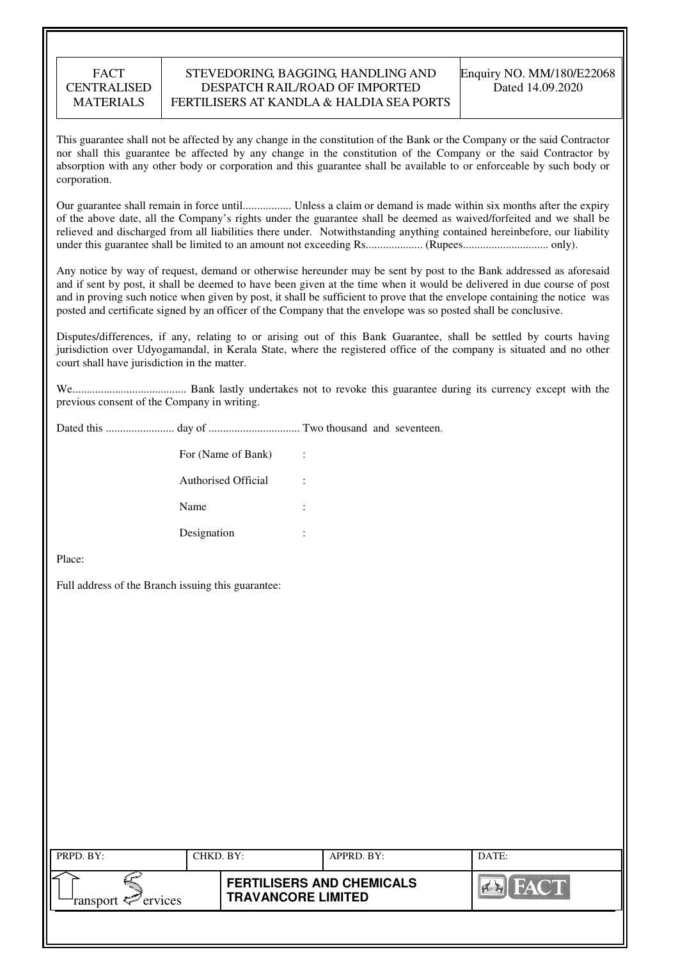#### STEVEDORING, BAGGING, HANDLING AND DESPATCH RAIL/ROAD OF IMPORTED FERTILISERS AT KANDLA & HALDIA SEA PORTS

This guarantee shall not be affected by any change in the constitution of the Bank or the Company or the said Contractor nor shall this guarantee be affected by any change in the constitution of the Company or the said Contractor by absorption with any other body or corporation and this guarantee shall be available to or enforceable by such body or corporation.

Our guarantee shall remain in force until................. Unless a claim or demand is made within six months after the expiry of the above date, all the Company's rights under the guarantee shall be deemed as waived/forfeited and we shall be relieved and discharged from all liabilities there under. Notwithstanding anything contained hereinbefore, our liability under this guarantee shall be limited to an amount not exceeding Rs.................... (Rupees.............................. only).

Any notice by way of request, demand or otherwise hereunder may be sent by post to the Bank addressed as aforesaid and if sent by post, it shall be deemed to have been given at the time when it would be delivered in due course of post and in proving such notice when given by post, it shall be sufficient to prove that the envelope containing the notice was posted and certificate signed by an officer of the Company that the envelope was so posted shall be conclusive.

Disputes/differences, if any, relating to or arising out of this Bank Guarantee, shall be settled by courts having jurisdiction over Udyogamandal, in Kerala State, where the registered office of the company is situated and no other court shall have jurisdiction in the matter.

We........................................ Bank lastly undertakes not to revoke this guarantee during its currency except with the previous consent of the Company in writing.

Dated this ........................ day of ................................ Two thousand and seventeen.

| For (Name of Bank)  | ÷      |
|---------------------|--------|
| Authorised Official | ٠      |
| Name                | ٠<br>٠ |
| Designation         | ٠      |

Place:

Full address of the Branch issuing this guarantee:

| PRPD. BY:                 | CHKD. BY: |                                                               | APPRD. BY: | DATE: |
|---------------------------|-----------|---------------------------------------------------------------|------------|-------|
| ransport $\sharp$ ervices |           | <b>FERTILISERS AND CHEMICALS</b><br><b>TRAVANCORE LIMITED</b> |            | FACT  |
|                           |           |                                                               |            |       |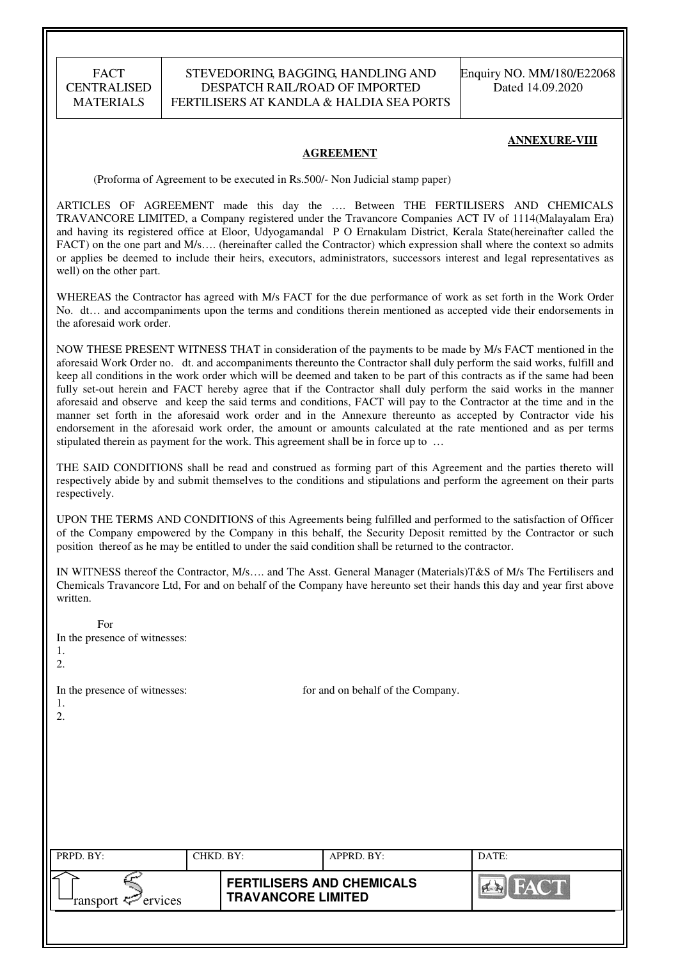#### STEVEDORING, BAGGING, HANDLING AND DESPATCH RAIL/ROAD OF IMPORTED FERTILISERS AT KANDLA & HALDIA SEA PORTS

Enquiry NO. MM/180/E22068 Dated 14.09.2020

#### **ANNEXURE-VIII**

#### **AGREEMENT**

(Proforma of Agreement to be executed in Rs.500/- Non Judicial stamp paper)

ARTICLES OF AGREEMENT made this day the …. Between THE FERTILISERS AND CHEMICALS TRAVANCORE LIMITED, a Company registered under the Travancore Companies ACT IV of 1114(Malayalam Era) and having its registered office at Eloor, Udyogamandal P O Ernakulam District, Kerala State(hereinafter called the FACT) on the one part and M/s.... (hereinafter called the Contractor) which expression shall where the context so admits or applies be deemed to include their heirs, executors, administrators, successors interest and legal representatives as well) on the other part.

WHEREAS the Contractor has agreed with M/s FACT for the due performance of work as set forth in the Work Order No. dt… and accompaniments upon the terms and conditions therein mentioned as accepted vide their endorsements in the aforesaid work order.

NOW THESE PRESENT WITNESS THAT in consideration of the payments to be made by M/s FACT mentioned in the aforesaid Work Order no. dt. and accompaniments thereunto the Contractor shall duly perform the said works, fulfill and keep all conditions in the work order which will be deemed and taken to be part of this contracts as if the same had been fully set-out herein and FACT hereby agree that if the Contractor shall duly perform the said works in the manner aforesaid and observe and keep the said terms and conditions, FACT will pay to the Contractor at the time and in the manner set forth in the aforesaid work order and in the Annexure thereunto as accepted by Contractor vide his endorsement in the aforesaid work order, the amount or amounts calculated at the rate mentioned and as per terms stipulated therein as payment for the work. This agreement shall be in force up to …

THE SAID CONDITIONS shall be read and construed as forming part of this Agreement and the parties thereto will respectively abide by and submit themselves to the conditions and stipulations and perform the agreement on their parts respectively.

UPON THE TERMS AND CONDITIONS of this Agreements being fulfilled and performed to the satisfaction of Officer of the Company empowered by the Company in this behalf, the Security Deposit remitted by the Contractor or such position thereof as he may be entitled to under the said condition shall be returned to the contractor.

IN WITNESS thereof the Contractor, M/s…. and The Asst. General Manager (Materials)T&S of M/s The Fertilisers and Chemicals Travancore Ltd, For and on behalf of the Company have hereunto set their hands this day and year first above written.

| For<br>In the presence of witnesses:<br>1.<br>2. |           |                                                               |                                   |             |
|--------------------------------------------------|-----------|---------------------------------------------------------------|-----------------------------------|-------------|
| In the presence of witnesses:<br>1.<br>2.        |           |                                                               | for and on behalf of the Company. |             |
| PRPD. BY:                                        | CHKD. BY: |                                                               | APPRD. BY:                        | DATE:       |
| ransport $\leq$ ervices                          |           | <b>FERTILISERS AND CHEMICALS</b><br><b>TRAVANCORE LIMITED</b> |                                   | <b>FACT</b> |
|                                                  |           |                                                               |                                   |             |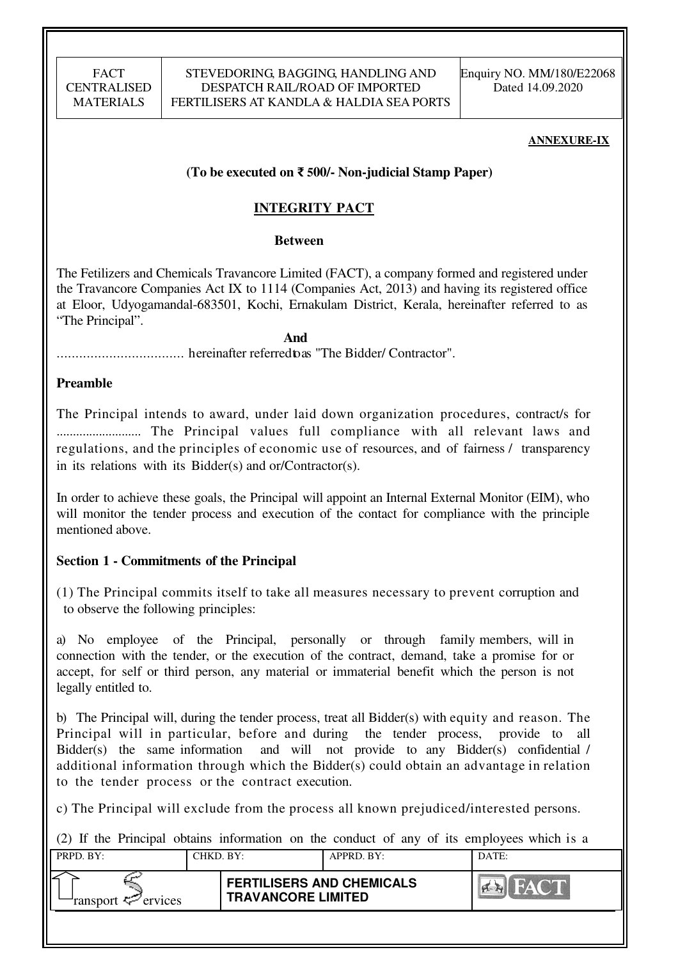#### **ANNEXURE-IX**

## **(To be executed on** ₹ **500/- Non-judicial Stamp Paper)**

# **INTEGRITY PACT**

#### **Between**

The Fetilizers and Chemicals Travancore Limited (FACT), a company formed and registered under the Travancore Companies Act IX to 1114 (Companies Act, 2013) and having its registered office at Eloor, Udyogamandal-683501, Kochi, Ernakulam District, Kerala, hereinafter referred to as "The Principal".

 **And** 

.................................. hereinafter referred to as "The Bidder/ Contractor".

## **Preamble**

The Principal intends to award, under laid down organization procedures, contract/s for .......................... The Principal values full compliance with all relevant laws and regulations, and the principles of economic use of resources, and of fairness / transparency in its relations with its Bidder(s) and or/Contractor(s).

In order to achieve these goals, the Principal will appoint an Internal External Monitor (EIM), who will monitor the tender process and execution of the contact for compliance with the principle mentioned above.

## **Section 1 - Commitments of the Principal**

(1) The Principal commits itself to take all measures necessary to prevent corruption and to observe the following principles:

a) No employee of the Principal, personally or through family members, will in connection with the tender, or the execution of the contract, demand, take a promise for or accept, for self or third person, any material or immaterial benefit which the person is not legally entitled to.

b) The Principal will, during the tender process, treat all Bidder(s) with equity and reason. The Principal will in particular, before and during the tender process, provide to all Bidder(s) the same information and will not provide to any Bidder(s) confidential / additional information through which the Bidder(s) could obtain an advantage in relation to the tender process or the contract execution.

c) The Principal will exclude from the process all known prejudiced/interested persons.

(2) If the Principal obtains information on the conduct of any of its employees which is a

| PRPD. BY:                  | CHKD. BY: |                                                               | APPRD. BY: | DATE: |
|----------------------------|-----------|---------------------------------------------------------------|------------|-------|
| ransport $\approx$ ervices |           | <b>FERTILISERS AND CHEMICALS</b><br><b>TRAVANCORE LIMITED</b> |            |       |
|                            |           |                                                               |            |       |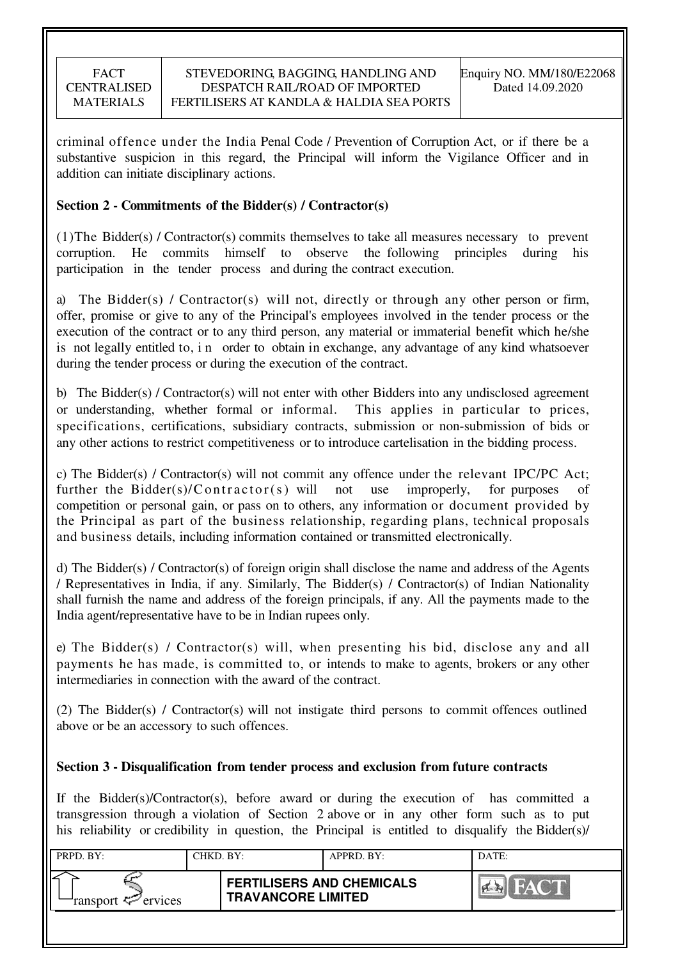criminal offence under the India Penal Code / Prevention of Corruption Act, or if there be a substantive suspicion in this regard, the Principal will inform the Vigilance Officer and in addition can initiate disciplinary actions.

## **Section 2 - Commitments of the Bidder(s) / Contractor(s)**

(1)The Bidder(s) / Contractor(s) commits themselves to take all measures necessary to prevent corruption. He commits himself to observe the following principles during his participation in the tender process and during the contract execution.

a) The Bidder(s) / Contractor(s) will not, directly or through any other person or firm, offer, promise or give to any of the Principal's employees involved in the tender process or the execution of the contract or to any third person, any material or immaterial benefit which he/she is not legally entitled to, i n order to obtain in exchange, any advantage of any kind whatsoever during the tender process or during the execution of the contract.

b) The Bidder(s) / Contractor(s) will not enter with other Bidders into any undisclosed agreement or understanding, whether formal or informal. This applies in particular to prices, specifications, certifications, subsidiary contracts, submission or non-submission of bids or any other actions to restrict competitiveness or to introduce cartelisation in the bidding process.

c) The Bidder(s) / Contractor(s) will not commit any offence under the relevant IPC/PC Act; further the Bidder(s)/Contractor(s) will not use improperly, for purposes of competition or personal gain, or pass on to others, any information or document provided by the Principal as part of the business relationship, regarding plans, technical proposals and business details, including information contained or transmitted electronically.

d) The Bidder(s) / Contractor(s) of foreign origin shall disclose the name and address of the Agents / Representatives in India, if any. Similarly, The Bidder(s) / Contractor(s) of Indian Nationality shall furnish the name and address of the foreign principals, if any. All the payments made to the India agent/representative have to be in Indian rupees only.

e) The Bidder(s) / Contractor(s) will, when presenting his bid, disclose any and all payments he has made, is committed to, or intends to make to agents, brokers or any other intermediaries in connection with the award of the contract.

(2) The Bidder(s) / Contractor(s) will not instigate third persons to commit offences outlined above or be an accessory to such offences.

## **Section 3 - Disqualification from tender process and exclusion from future contracts**

If the Bidder(s)/Contractor(s), before award or during the execution of has committed a transgression through a violation of Section 2 above or in any other form such as to put his reliability or credibility in question, the Principal is entitled to disqualify the Bidder(s)/

| PRPD. BY:                     | CHKD. BY: |                                                               | APPRD. BY: | DATE: |
|-------------------------------|-----------|---------------------------------------------------------------|------------|-------|
| ransport <sup>2</sup> ervices |           | <b>FERTILISERS AND CHEMICALS</b><br><b>TRAVANCORE LIMITED</b> |            |       |
|                               |           |                                                               |            |       |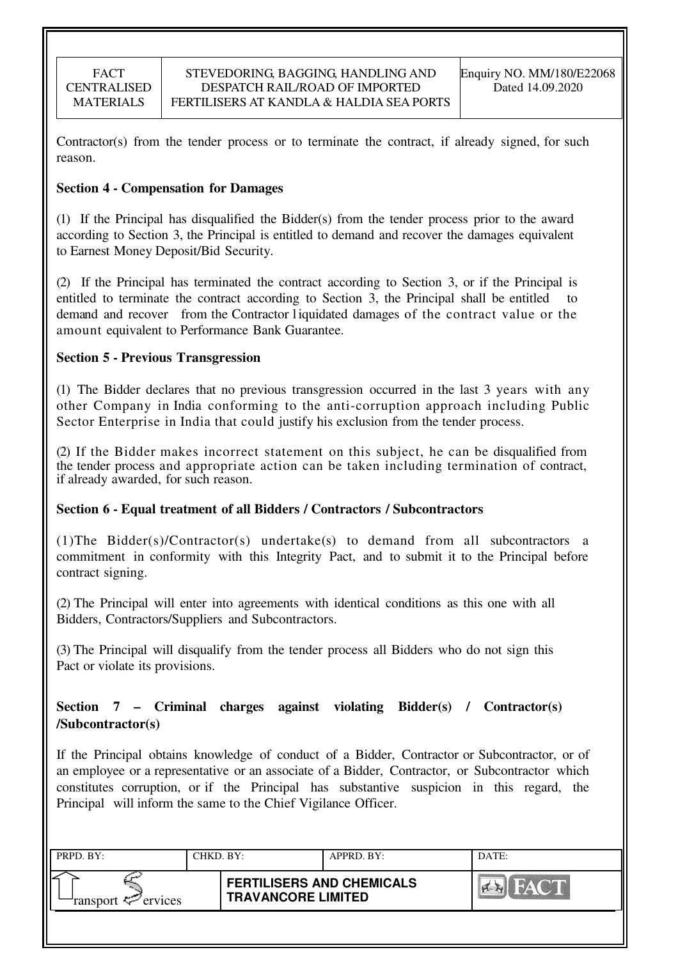Contractor(s) from the tender process or to terminate the contract, if already signed, for such reason.

## **Section 4 - Compensation for Damages**

(1) If the Principal has disqualified the Bidder(s) from the tender process prior to the award according to Section 3, the Principal is entitled to demand and recover the damages equivalent to Earnest Money Deposit/Bid Security.

(2) If the Principal has terminated the contract according to Section 3, or if the Principal is entitled to terminate the contract according to Section 3, the Principal shall be entitled demand and recover from the Contractor l iquidated damages of the contract value or the amount equivalent to Performance Bank Guarantee.

## **Section 5 - Previous Transgression**

(1) The Bidder declares that no previous transgression occurred in the last 3 years with any other Company in India conforming to the anti-corruption approach including Public Sector Enterprise in India that could justify his exclusion from the tender process.

(2) If the Bidder makes incorrect statement on this subject, he can be disqualified from the tender process and appropriate action can be taken including termination of contract, if already awarded, for such reason.

## **Section 6 - Equal treatment of all Bidders / Contractors / Subcontractors**

(1)The Bidder(s)/Contractor(s) undertake(s) to demand from all subcontractors a commitment in conformity with this Integrity Pact, and to submit it to the Principal before contract signing.

(2) The Principal will enter into agreements with identical conditions as this one with all Bidders, Contractors/Suppliers and Subcontractors.

(3) The Principal will disqualify from the tender process all Bidders who do not sign this Pact or violate its provisions.

## **Section 7 – Criminal charges against violating Bidder(s) / Contractor(s) /Subcontractor(s)**

If the Principal obtains knowledge of conduct of a Bidder, Contractor or Subcontractor, or of an employee or a representative or an associate of a Bidder, Contractor, or Subcontractor which constitutes corruption, or if the Principal has substantive suspicion in this regard, the Principal will inform the same to the Chief Vigilance Officer.

| PRPD. BY:              | CHKD. BY: |                                                               | APPRD. BY: | DATE:      |
|------------------------|-----------|---------------------------------------------------------------|------------|------------|
| ransport $\ll$ ervices |           | <b>FERTILISERS AND CHEMICALS</b><br><b>TRAVANCORE LIMITED</b> |            | I Corea Ka |
|                        |           |                                                               |            |            |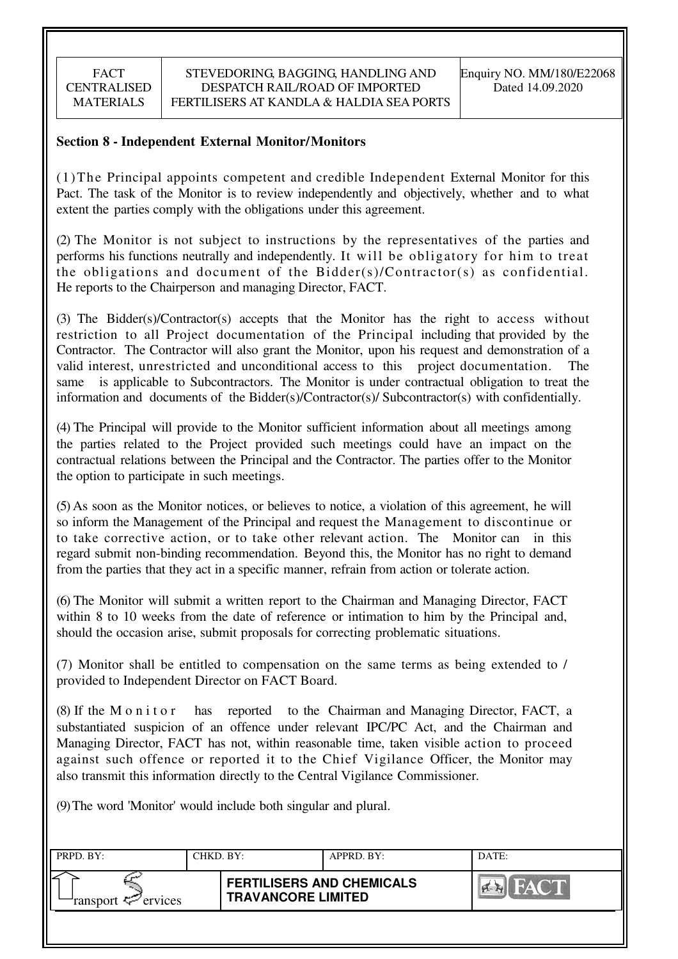## **Section 8 - Independent External Monitor/Monitors**

(1)The Principal appoints competent and credible Independent External Monitor for this Pact. The task of the Monitor is to review independently and objectively, whether and to what extent the parties comply with the obligations under this agreement.

(2) The Monitor is not subject to instructions by the representatives of the parties and performs his functions neutrally and independently. It will be obligatory for him to treat the obligations and document of the Bidder(s)/Contractor(s) as confidential. He reports to the Chairperson and managing Director, FACT.

(3) The Bidder(s)/Contractor(s) accepts that the Monitor has the right to access without restriction to all Project documentation of the Principal including that provided by the Contractor. The Contractor will also grant the Monitor, upon his request and demonstration of a valid interest, unrestricted and unconditional access to this project documentation. The same is applicable to Subcontractors. The Monitor is under contractual obligation to treat the information and documents of the Bidder(s)/Contractor(s)/ Subcontractor(s) with confidentially.

(4) The Principal will provide to the Monitor sufficient information about all meetings among the parties related to the Project provided such meetings could have an impact on the contractual relations between the Principal and the Contractor. The parties offer to the Monitor the option to participate in such meetings.

(5) As soon as the Monitor notices, or believes to notice, a violation of this agreement, he will so inform the Management of the Principal and request the Management to discontinue or to take corrective action, or to take other relevant action. The Monitor can in this regard submit non-binding recommendation. Beyond this, the Monitor has no right to demand from the parties that they act in a specific manner, refrain from action or tolerate action.

(6) The Monitor will submit a written report to the Chairman and Managing Director, FACT within 8 to 10 weeks from the date of reference or intimation to him by the Principal and, should the occasion arise, submit proposals for correcting problematic situations.

(7) Monitor shall be entitled to compensation on the same terms as being extended to / provided to Independent Director on FACT Board.

(8) If the M o n i t o r has reported to the Chairman and Managing Director, FACT, a substantiated suspicion of an offence under relevant IPC/PC Act, and the Chairman and Managing Director, FACT has not, within reasonable time, taken visible action to proceed against such offence or reported it to the Chief Vigilance Officer, the Monitor may also transmit this information directly to the Central Vigilance Commissioner.

(9) The word 'Monitor' would include both singular and plural.

| PRPD. BY:              | CHKD. BY: |                                                               | APPRD. BY: | DATE:      |
|------------------------|-----------|---------------------------------------------------------------|------------|------------|
| ransport $\ll$ ervices |           | <b>FERTILISERS AND CHEMICALS</b><br><b>TRAVANCORE LIMITED</b> |            | <b>DAY</b> |
|                        |           |                                                               |            |            |